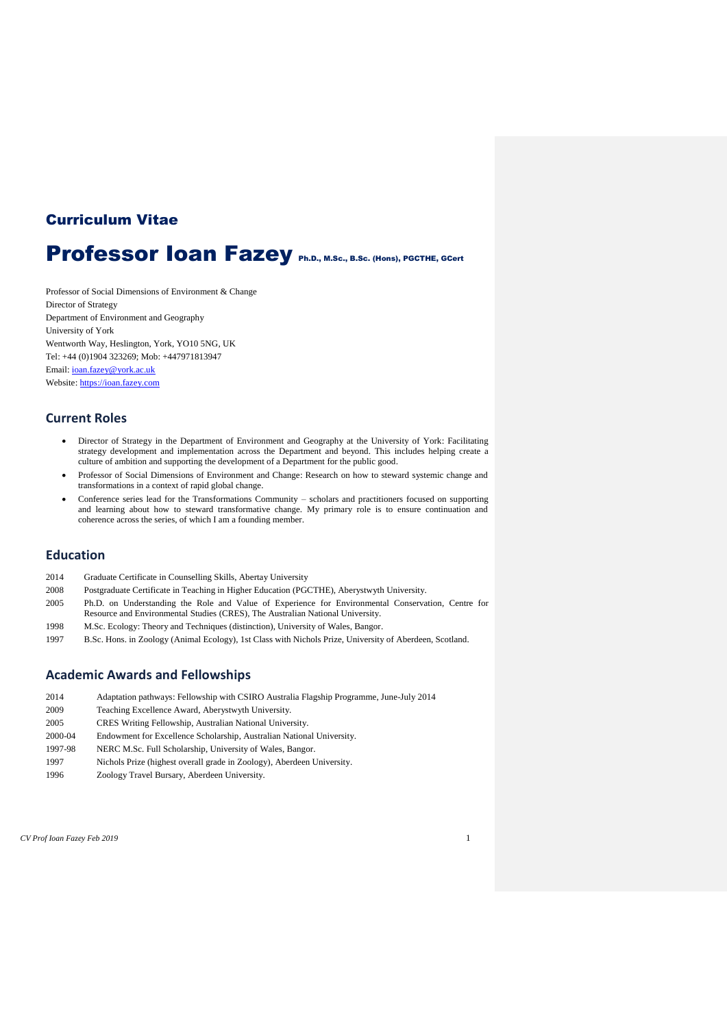# Curriculum Vitae

# Professor Ioan Fazey Ph.D., M.Sc., B.Sc. (Hons), PGCTHE, GCert

Professor of Social Dimensions of Environment & Change Director of Strategy Department of Environment and Geography University of York Wentworth Way, Heslington, York, YO10 5NG, UK Tel: +44 (0)1904 323269; Mob: +447971813947 Email[: ioan.fazey@york.ac.uk](mailto:ioan.fazey@york.ac.uk) Website: [https://ioan.fazey.com](https://ioan.fazey.com/)

### **Current Roles**

- Director of Strategy in the Department of Environment and Geography at the University of York: Facilitating strategy development and implementation across the Department and beyond. This includes helping create a culture of ambition and supporting the development of a Department for the public good.
- Professor of Social Dimensions of Environment and Change: Research on how to steward systemic change and transformations in a context of rapid global change.
- Conference series lead for the Transformations Community scholars and practitioners focused on supporting and learning about how to steward transformative change. My primary role is to ensure continuation and coherence across the series, of which I am a founding member.

### **Education**

- 2014 Graduate Certificate in Counselling Skills, Abertay University
- 2008 Postgraduate Certificate in Teaching in Higher Education (PGCTHE), Aberystwyth University.
- 2005 Ph.D. on Understanding the Role and Value of Experience for Environmental Conservation, Centre for Resource and Environmental Studies (CRES), The Australian National University.
- 1998 M.Sc. Ecology: Theory and Techniques (distinction), University of Wales, Bangor.
- 1997 B.Sc. Hons. in Zoology (Animal Ecology), 1st Class with Nichols Prize, University of Aberdeen, Scotland.

### **Academic Awards and Fellowships**

- 2014 Adaptation pathways: Fellowship with CSIRO Australia Flagship Programme, June-July 2014
- 2009 Teaching Excellence Award, Aberystwyth University.
- 2005 CRES Writing Fellowship, Australian National University.
- 2000-04 Endowment for Excellence Scholarship, Australian National University.
- 1997-98 NERC M.Sc. Full Scholarship, University of Wales, Bangor.
- 1997 Nichols Prize (highest overall grade in Zoology), Aberdeen University.
- 1996 Zoology Travel Bursary, Aberdeen University.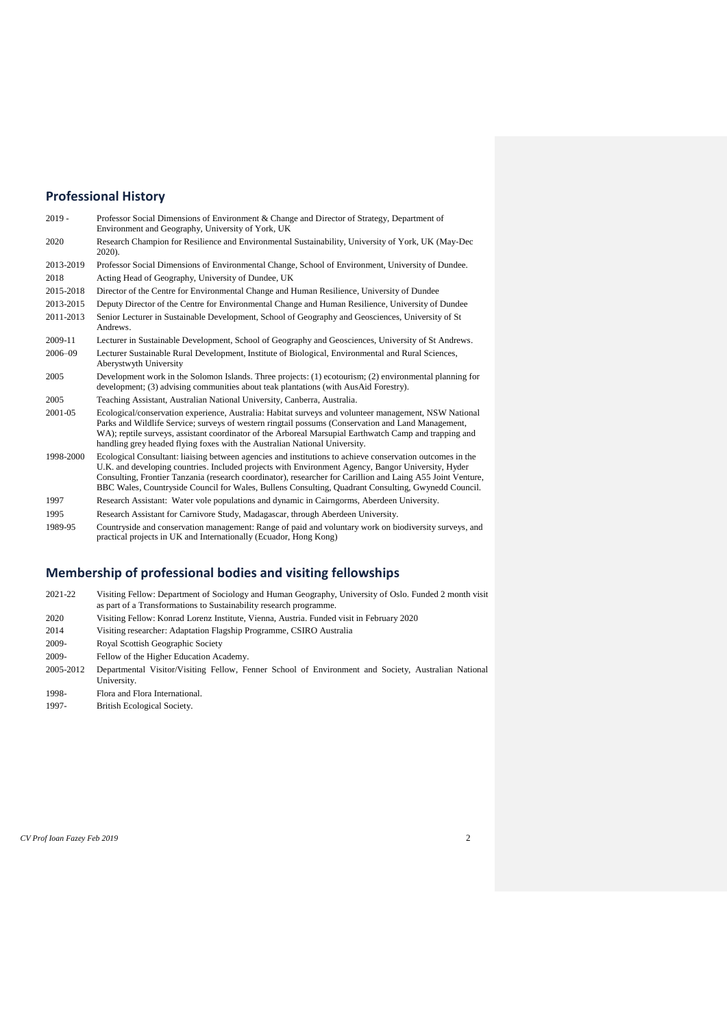# **Professional History**

| $2019 -$  | Professor Social Dimensions of Environment & Change and Director of Strategy, Department of<br>Environment and Geography, University of York, UK                                                                                                                                                                                                                                                                                      |
|-----------|---------------------------------------------------------------------------------------------------------------------------------------------------------------------------------------------------------------------------------------------------------------------------------------------------------------------------------------------------------------------------------------------------------------------------------------|
| 2020      | Research Champion for Resilience and Environmental Sustainability, University of York, UK (May-Dec)<br>$2020$ ).                                                                                                                                                                                                                                                                                                                      |
| 2013-2019 | Professor Social Dimensions of Environmental Change, School of Environment, University of Dundee.                                                                                                                                                                                                                                                                                                                                     |
| 2018      | Acting Head of Geography, University of Dundee, UK                                                                                                                                                                                                                                                                                                                                                                                    |
| 2015-2018 | Director of the Centre for Environmental Change and Human Resilience, University of Dundee                                                                                                                                                                                                                                                                                                                                            |
| 2013-2015 | Deputy Director of the Centre for Environmental Change and Human Resilience, University of Dundee                                                                                                                                                                                                                                                                                                                                     |
| 2011-2013 | Senior Lecturer in Sustainable Development, School of Geography and Geosciences, University of St<br>Andrews.                                                                                                                                                                                                                                                                                                                         |
| 2009-11   | Lecturer in Sustainable Development, School of Geography and Geosciences, University of St Andrews.                                                                                                                                                                                                                                                                                                                                   |
| 2006-09   | Lecturer Sustainable Rural Development, Institute of Biological, Environmental and Rural Sciences,<br>Aberystwyth University                                                                                                                                                                                                                                                                                                          |
| 2005      | Development work in the Solomon Islands. Three projects: (1) ecotourism; (2) environmental planning for<br>development; (3) advising communities about teak plantations (with AusAid Forestry).                                                                                                                                                                                                                                       |
| 2005      | Teaching Assistant, Australian National University, Canberra, Australia.                                                                                                                                                                                                                                                                                                                                                              |
| 2001-05   | Ecological/conservation experience, Australia: Habitat surveys and volunteer management, NSW National<br>Parks and Wildlife Service; surveys of western ringtail possums (Conservation and Land Management,<br>WA); reptile surveys, assistant coordinator of the Arboreal Marsupial Earthwatch Camp and trapping and<br>handling grey headed flying foxes with the Australian National University.                                   |
| 1998-2000 | Ecological Consultant: liaising between agencies and institutions to achieve conservation outcomes in the<br>U.K. and developing countries. Included projects with Environment Agency, Bangor University, Hyder<br>Consulting, Frontier Tanzania (research coordinator), researcher for Carillion and Laing A55 Joint Venture,<br>BBC Wales, Countryside Council for Wales, Bullens Consulting, Quadrant Consulting, Gwynedd Council. |
| 1007      |                                                                                                                                                                                                                                                                                                                                                                                                                                       |

- 1997 Research Assistant: Water vole populations and dynamic in Cairngorms, Aberdeen University. 1995 Research Assistant for Carnivore Study, Madagascar, through Aberdeen University.
- 1989-95 Countryside and conservation management: Range of paid and voluntary work on biodiversity surveys, and practical projects in UK and Internationally (Ecuador, Hong Kong)

### **Membership of professional bodies and visiting fellowships**

- 2021-22 Visiting Fellow: Department of Sociology and Human Geography, University of Oslo. Funded 2 month visit as part of a Transformations to Sustainability research programme.
- 2020 Visiting Fellow: Konrad Lorenz Institute, Vienna, Austria. Funded visit in February 2020
- 2014 Visiting researcher: Adaptation Flagship Programme, CSIRO Australia
- 2009- Royal Scottish Geographic Society
- 2009- Fellow of the Higher Education Academy.
- 2005-2012 Departmental Visitor/Visiting Fellow, Fenner School of Environment and Society, Australian National University.
- 1998- Flora and Flora International. 1997- British Ecological Society.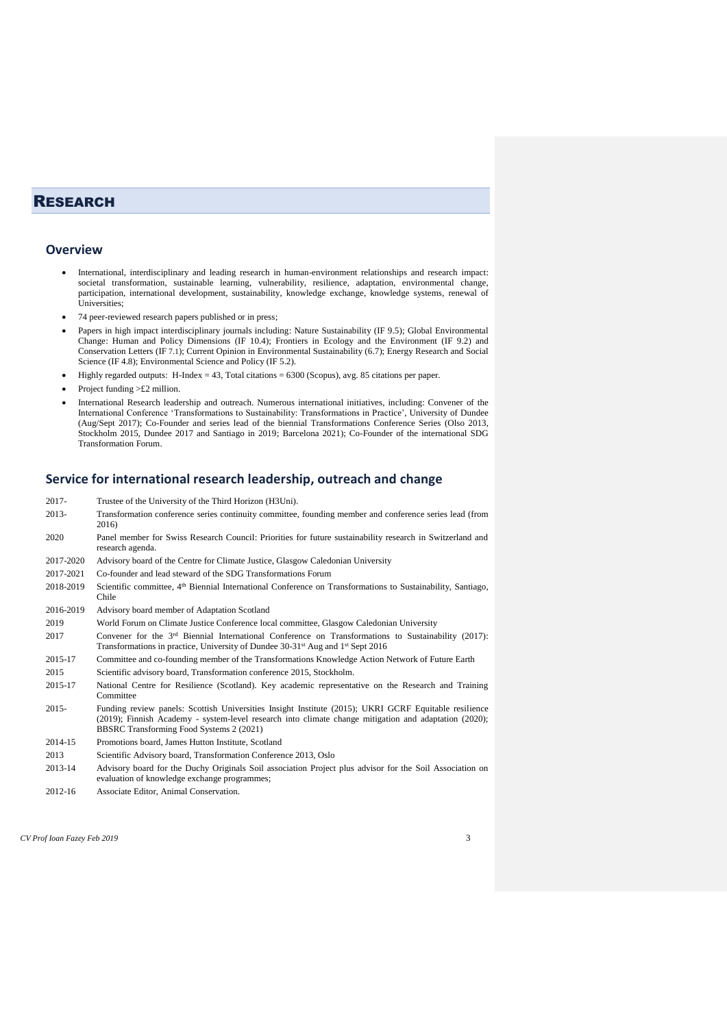# **RESEARCH**

#### **Overview**

- International, interdisciplinary and leading research in human-environment relationships and research impact: societal transformation, sustainable learning, vulnerability, resilience, adaptation, environmental change, participation, international development, sustainability, knowledge exchange, knowledge systems, renewal of Universities;
- 74 peer-reviewed research papers published or in press;
- Papers in high impact interdisciplinary journals including: Nature Sustainability (IF 9.5); Global Environmental Change: Human and Policy Dimensions (IF 10.4); Frontiers in Ecology and the Environment (IF 9.2) and Conservation Letters (IF 7.1); Current Opinion in Environmental Sustainability (6.7); Energy Research and Social Science (IF 4.8); Environmental Science and Policy (IF 5.2).
- Highly regarded outputs: H-Index = 43, Total citations = 6300 (Scopus), avg. 85 citations per paper.
- Project funding  $>\pounds 2$  million.
- International Research leadership and outreach. Numerous international initiatives, including: Convener of the International Conference 'Transformations to Sustainability: Transformations in Practice', University of Dundee (Aug/Sept 2017); Co-Founder and series lead of the biennial Transformations Conference Series (Olso 2013, Stockholm 2015, Dundee 2017 and Santiago in 2019; Barcelona 2021); Co-Founder of the international SDG Transformation Forum.

### **Service for international research leadership, outreach and change**

| Trustee of the University of the Third Horizon (H3Uni).                                                                                                                                                                                                    |  |  |
|------------------------------------------------------------------------------------------------------------------------------------------------------------------------------------------------------------------------------------------------------------|--|--|
| Transformation conference series continuity committee, founding member and conference series lead (from<br>2016)                                                                                                                                           |  |  |
| Panel member for Swiss Research Council: Priorities for future sustainability research in Switzerland and<br>2020<br>research agenda.                                                                                                                      |  |  |
| Advisory board of the Centre for Climate Justice, Glasgow Caledonian University                                                                                                                                                                            |  |  |
| Co-founder and lead steward of the SDG Transformations Forum                                                                                                                                                                                               |  |  |
| Scientific committee, 4 <sup>th</sup> Biennial International Conference on Transformations to Sustainability, Santiago,<br>Chile                                                                                                                           |  |  |
| Advisory board member of Adaptation Scotland                                                                                                                                                                                                               |  |  |
| World Forum on Climate Justice Conference local committee, Glasgow Caledonian University                                                                                                                                                                   |  |  |
| Convener for the $3rd$ Biennial International Conference on Transformations to Sustainability (2017):<br>Transformations in practice, University of Dundee 30-31 <sup>st</sup> Aug and 1 <sup>st</sup> Sept 2016                                           |  |  |
| Committee and co-founding member of the Transformations Knowledge Action Network of Future Earth                                                                                                                                                           |  |  |
| Scientific advisory board, Transformation conference 2015, Stockholm.                                                                                                                                                                                      |  |  |
| National Centre for Resilience (Scotland). Key academic representative on the Research and Training<br>Committee                                                                                                                                           |  |  |
| Funding review panels: Scottish Universities Insight Institute (2015); UKRI GCRF Equitable resilience<br>(2019); Finnish Academy - system-level research into climate change mitigation and adaptation (2020);<br>BBSRC Transforming Food Systems 2 (2021) |  |  |
|                                                                                                                                                                                                                                                            |  |  |

- 2014-15 Promotions board, James Hutton Institute, Scotland
- 2013 Scientific Advisory board, Transformation Conference 2013, Oslo
- 2013-14 Advisory board for the Duchy Originals Soil association Project plus advisor for the Soil Association on evaluation of knowledge exchange programmes;
- 2012-16 Associate Editor, Animal Conservation.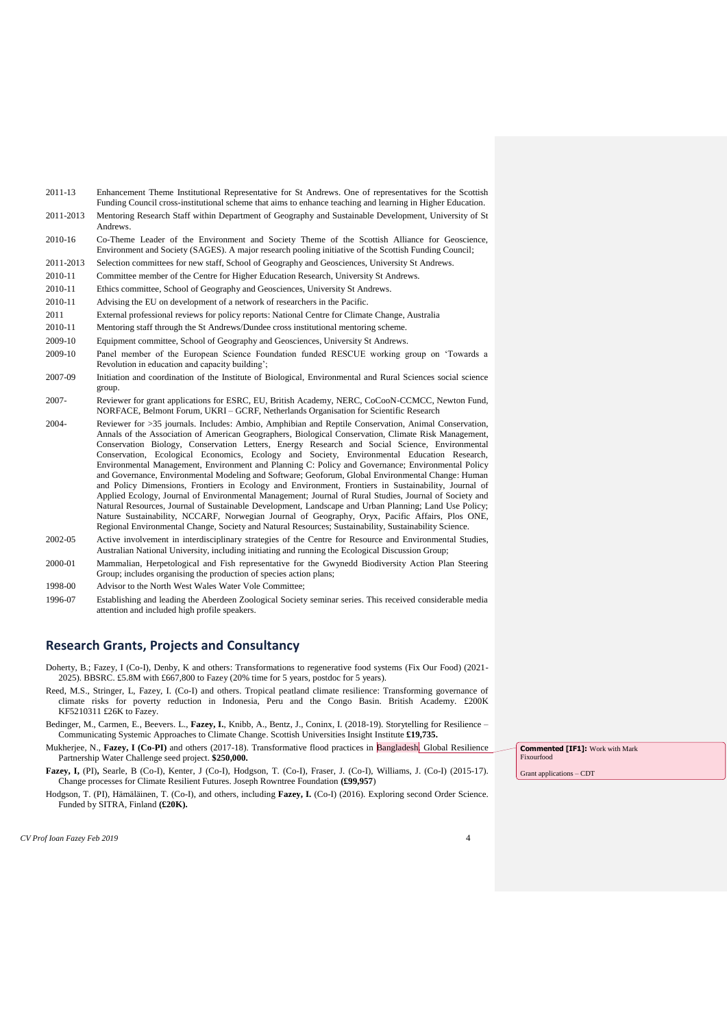- 2011-13 Enhancement Theme Institutional Representative for St Andrews. One of representatives for the Scottish Funding Council cross-institutional scheme that aims to enhance teaching and learning in Higher Education.
- 2011-2013 Mentoring Research Staff within Department of Geography and Sustainable Development, University of St Andrews.
- 2010-16 Co-Theme Leader of the Environment and Society Theme of the Scottish Alliance for Geoscience, Environment and Society (SAGES). A major research pooling initiative of the Scottish Funding Council;
- 2011-2013 Selection committees for new staff, School of Geography and Geosciences, University St Andrews.
- 2010-11 Committee member of the Centre for Higher Education Research, University St Andrews.
- 2010-11 Ethics committee, School of Geography and Geosciences, University St Andrews.
- 2010-11 Advising the EU on development of a network of researchers in the Pacific.
- 2011 External professional reviews for policy reports: National Centre for Climate Change, Australia
- 2010-11 Mentoring staff through the St Andrews/Dundee cross institutional mentoring scheme.
- 2009-10 Equipment committee, School of Geography and Geosciences, University St Andrews.
- 2009-10 Panel member of the European Science Foundation funded RESCUE working group on 'Towards a Revolution in education and capacity building';
- 2007-09 Initiation and coordination of the Institute of Biological, Environmental and Rural Sciences social science group.
- 2007- Reviewer for grant applications for ESRC, EU, British Academy, NERC, CoCooN-CCMCC, Newton Fund, NORFACE, Belmont Forum, UKRI – GCRF, Netherlands Organisation for Scientific Research
- 2004- Reviewer for >35 journals. Includes: Ambio, Amphibian and Reptile Conservation, Animal Conservation, Annals of the Association of American Geographers, Biological Conservation, Climate Risk Management, Conservation Biology, Conservation Letters, Energy Research and Social Science, Environmental Conservation, Ecological Economics, Ecology and Society, Environmental Education Research, Environmental Management, Environment and Planning C: Policy and Governance; Environmental Policy and Governance, Environmental Modeling and Software; Geoforum, Global Environmental Change: Human and Policy Dimensions, Frontiers in Ecology and Environment, Frontiers in Sustainability, Journal of Applied Ecology, Journal of Environmental Management; Journal of Rural Studies, Journal of Society and Natural Resources, Journal of Sustainable Development, Landscape and Urban Planning; Land Use Policy; Nature Sustainability, NCCARF, Norwegian Journal of Geography, Oryx, Pacific Affairs, Plos ONE, Regional Environmental Change, Society and Natural Resources; Sustainability, Sustainability Science.
- 2002-05 Active involvement in interdisciplinary strategies of the Centre for Resource and Environmental Studies, Australian National University, including initiating and running the Ecological Discussion Group;
- 2000-01 Mammalian, Herpetological and Fish representative for the Gwynedd Biodiversity Action Plan Steering Group; includes organising the production of species action plans;
- 1998-00 Advisor to the North West Wales Water Vole Committee;
- 1996-07 Establishing and leading the Aberdeen Zoological Society seminar series. This received considerable media attention and included high profile speakers.

#### **Research Grants, Projects and Consultancy**

Doherty, B.; Fazey, I (Co-I), Denby, K and others: Transformations to regenerative food systems (Fix Our Food) (2021- 2025). BBSRC. £5.8M with £667,800 to Fazey (20% time for 5 years, postdoc for 5 years).

- Reed, M.S., Stringer, L, Fazey, I. (Co-I) and others. Tropical peatland climate resilience: Transforming governance of climate risks for poverty reduction in Indonesia, Peru and the Congo Basin. British Academy. £200K KF5210311 £26K to Fazey.
- Bedinger, M., Carmen, E., Beevers. L., **Fazey, I.**, Knibb, A., Bentz, J., Coninx, I. (2018-19). Storytelling for Resilience Communicating Systemic Approaches to Climate Change. Scottish Universities Insight Institute **£19,735.**

Mukherjee, N., **Fazey, I (Co-PI)** and others (2017-18). Transformative flood practices in Bangladesh. Global Resilience Partnership Water Challenge seed project. **\$250,000.**

- **Fazey, I,** (PI)**,** Searle, B (Co-I), Kenter, J (Co-I), Hodgson, T. (Co-I), Fraser, J. (Co-I), Williams, J. (Co-I) (2015-17). Change processes for Climate Resilient Futures. Joseph Rowntree Foundation **(£99,957**)
- Hodgson, T. (PI), Hämäläinen, T. (Co-I), and others, including **Fazey, I.** (Co-I) (2016). Exploring second Order Science. Funded by SITRA, Finland **(£20K).**

*CV Prof Ioan Fazey Feb 2019* 4

**Commented [IF1]:** Work with Mark Fixourfood

Grant applications – CDT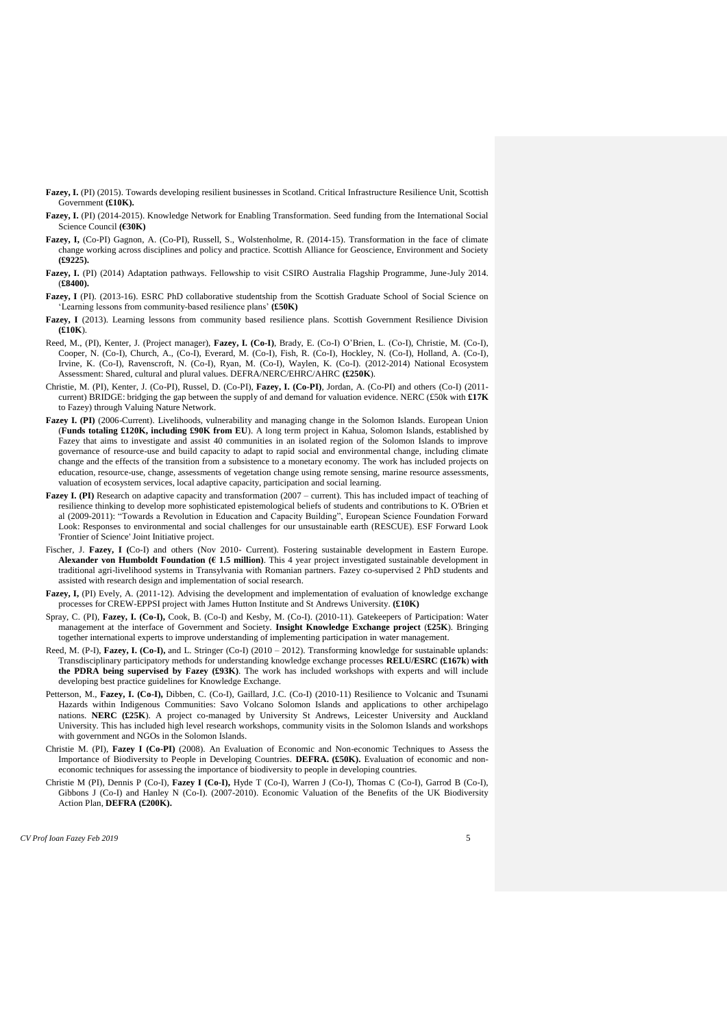- **Fazey, I.** (PI) (2015). Towards developing resilient businesses in Scotland. Critical Infrastructure Resilience Unit, Scottish Government **(£10K).**
- **Fazey, I.** (PI) (2014-2015). Knowledge Network for Enabling Transformation. Seed funding from the International Social Science Council **(€30K)**
- **Fazey, I,** (Co-PI) Gagnon, A. (Co-PI), Russell, S., Wolstenholme, R. (2014-15). Transformation in the face of climate change working across disciplines and policy and practice. Scottish Alliance for Geoscience, Environment and Society **(£9225).**
- Fazey, I. (PI) (2014) Adaptation pathways. Fellowship to visit CSIRO Australia Flagship Programme, June-July 2014. (**£8400).**
- **Fazey, I** (PI). (2013-16). ESRC PhD collaborative studentship from the Scottish Graduate School of Social Science on 'Learning lessons from community-based resilience plans' **(£50K)**
- **Fazey, I** (2013). Learning lessons from community based resilience plans. Scottish Government Resilience Division **(£10K**).
- Reed, M., (PI), Kenter, J. (Project manager), **Fazey, I. (Co-I)**, Brady, E. (Co-I) O'Brien, L. (Co-I), Christie, M. (Co-I), Cooper, N. (Co-I), Church, A., (Co-I), Everard, M. (Co-I), Fish, R. (Co-I), Hockley, N. (Co-I), Holland, A. (Co-I), Irvine, K. (Co-I), Ravenscroft, N. (Co-I), Ryan, M. (Co-I), Waylen, K. (Co-I). (2012-2014) National Ecosystem Assessment: Shared, cultural and plural values. DEFRA/NERC/EHRC/AHRC **(£250K**).
- Christie, M. (PI), Kenter, J. (Co-PI), Russel, D. (Co-PI), **Fazey, I. (Co-PI)**, Jordan, A. (Co-PI) and others (Co-I) (2011 current) BRIDGE: bridging the gap between the supply of and demand for valuation evidence. NERC (£50k with **£17K** to Fazey) through Valuing Nature Network.
- **Fazey I. (PI)** (2006-Current). Livelihoods, vulnerability and managing change in the Solomon Islands. European Union (**Funds totaling £120K, including £90K from EU**). A long term project in Kahua, Solomon Islands, established by Fazey that aims to investigate and assist 40 communities in an isolated region of the Solomon Islands to improve governance of resource-use and build capacity to adapt to rapid social and environmental change, including climate change and the effects of the transition from a subsistence to a monetary economy. The work has included projects on education, resource-use, change, assessments of vegetation change using remote sensing, marine resource assessments, valuation of ecosystem services, local adaptive capacity, participation and social learning.
- **Fazey I. (PI)** Research on adaptive capacity and transformation (2007 current). This has included impact of teaching of resilience thinking to develop more sophisticated epistemological beliefs of students and contributions to K. O'Brien et al (2009-2011): "Towards a Revolution in Education and Capacity Building", European Science Foundation Forward Look: Responses to environmental and social challenges for our unsustainable earth (RESCUE). ESF Forward Look 'Frontier of Science' Joint Initiative project.
- Fischer, J. **Fazey, I (**Co-I) and others (Nov 2010- Current). Fostering sustainable development in Eastern Europe. **Alexander von Humboldt Foundation (€ 1.5 million)**. This 4 year project investigated sustainable development in traditional agri-livelihood systems in Transylvania with Romanian partners. Fazey co-supervised 2 PhD students and assisted with research design and implementation of social research.
- **Fazey, I,** (PI) Evely, A. (2011-12). Advising the development and implementation of evaluation of knowledge exchange processes for CREW-EPPSI project with James Hutton Institute and St Andrews University. **(£10K)**
- Spray, C. (PI), **Fazey, I. (Co-I),** Cook, B. (Co-I) and Kesby, M. (Co-I). (2010-11). Gatekeepers of Participation: Water management at the interface of Government and Society. **Insight Knowledge Exchange project** (**£25K**). Bringing together international experts to improve understanding of implementing participation in water management.
- Reed, M. (P-I), **Fazey, I. (Co-I),** and L. Stringer (Co-I) (2010 2012). Transforming knowledge for sustainable uplands: Transdisciplinary participatory methods for understanding knowledge exchange processes **RELU/ESRC (£167k**) **with the PDRA being supervised by Fazey (£93K)**. The work has included workshops with experts and will include developing best practice guidelines for Knowledge Exchange.
- Petterson, M., **Fazey, I. (Co-I),** Dibben, C. (Co-I), Gaillard, J.C. (Co-I) (2010-11) Resilience to Volcanic and Tsunami Hazards within Indigenous Communities: Savo Volcano Solomon Islands and applications to other archipelago nations. **NERC (£25K**). A project co-managed by University St Andrews, Leicester University and Auckland University. This has included high level research workshops, community visits in the Solomon Islands and workshops with government and NGOs in the Solomon Islands.
- Christie M. (PI), **Fazey I (Co-PI)** (2008). An Evaluation of Economic and Non-economic Techniques to Assess the Importance of Biodiversity to People in Developing Countries. **DEFRA. (£50K).** Evaluation of economic and noneconomic techniques for assessing the importance of biodiversity to people in developing countries.
- Christie M (PI), Dennis P (Co-I), **Fazey I (Co-I),** Hyde T (Co-I), Warren J (Co-I), Thomas C (Co-I), Garrod B (Co-I), Gibbons J (Co-I) and Hanley N (Co-I). (2007-2010). Economic Valuation of the Benefits of the UK Biodiversity Action Plan, **DEFRA (£200K).**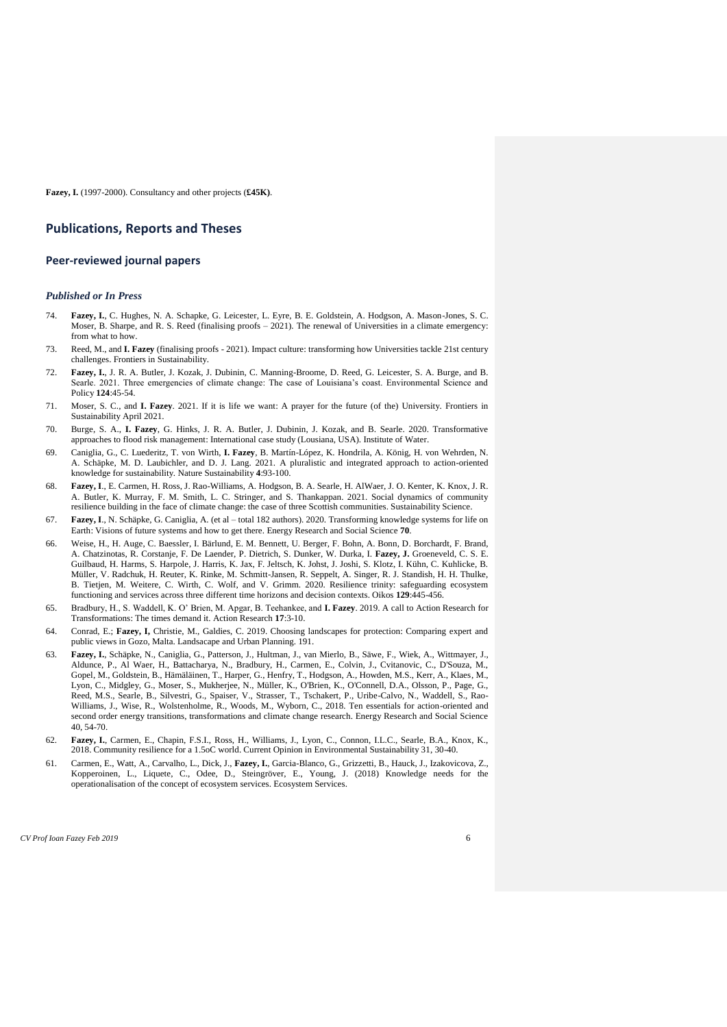**Fazey, I.** (1997-2000). Consultancy and other projects (**£45K)**.

#### **Publications, Reports and Theses**

### **Peer-reviewed journal papers**

#### *Published or In Press*

- 74. **Fazey, I.**, C. Hughes, N. A. Schapke, G. Leicester, L. Eyre, B. E. Goldstein, A. Hodgson, A. Mason-Jones, S. C. Moser, B. Sharpe, and R. S. Reed (finalising proofs – 2021). The renewal of Universities in a climate emergency: from what to how.
- 73. Reed, M., and **I. Fazey** (finalising proofs 2021). Impact culture: transforming how Universities tackle 21st century challenges. Frontiers in Sustainability.
- 72. **Fazey, I.**, J. R. A. Butler, J. Kozak, J. Dubinin, C. Manning-Broome, D. Reed, G. Leicester, S. A. Burge, and B. Searle. 2021. Three emergencies of climate change: The case of Louisiana's coast. Environmental Science and Policy **124**:45-54.
- 71. Moser, S. C., and **I. Fazey**. 2021. If it is life we want: A prayer for the future (of the) University. Frontiers in Sustainability April 2021.
- 70. Burge, S. A., **I. Fazey**, G. Hinks, J. R. A. Butler, J. Dubinin, J. Kozak, and B. Searle. 2020. Transformative approaches to flood risk management: International case study (Lousiana, USA). Institute of Water.
- 69. Caniglia, G., C. Luederitz, T. von Wirth, **I. Fazey**, B. Martín-López, K. Hondrila, A. König, H. von Wehrden, N. A. Schäpke, M. D. Laubichler, and D. J. Lang. 2021. A pluralistic and integrated approach to action-oriented knowledge for sustainability. Nature Sustainability **4**:93-100.
- 68. **Fazey, I**., E. Carmen, H. Ross, J. Rao-Williams, A. Hodgson, B. A. Searle, H. AlWaer, J. O. Kenter, K. Knox, J. R. A. Butler, K. Murray, F. M. Smith, L. C. Stringer, and S. Thankappan. 2021. Social dynamics of community resilience building in the face of climate change: the case of three Scottish communities. Sustainability Science.
- 67. **Fazey, I**., N. Schäpke, G. Caniglia, A. (et al total 182 authors). 2020. Transforming knowledge systems for life on Earth: Visions of future systems and how to get there. Energy Research and Social Science **70**.
- 66. Weise, H., H. Auge, C. Baessler, I. Bärlund, E. M. Bennett, U. Berger, F. Bohn, A. Bonn, D. Borchardt, F. Brand, A. Chatzinotas, R. Corstanje, F. De Laender, P. Dietrich, S. Dunker, W. Durka, I. **Fazey, J.** Groeneveld, C. S. E. Guilbaud, H. Harms, S. Harpole, J. Harris, K. Jax, F. Jeltsch, K. Johst, J. Joshi, S. Klotz, I. Kühn, C. Kuhlicke, B. Müller, V. Radchuk, H. Reuter, K. Rinke, M. Schmitt-Jansen, R. Seppelt, A. Singer, R. J. Standish, H. H. Thulke, B. Tietjen, M. Weitere, C. Wirth, C. Wolf, and V. Grimm. 2020. Resilience trinity: safeguarding ecosystem functioning and services across three different time horizons and decision contexts. Oikos **129**:445-456.
- 65. Bradbury, H., S. Waddell, K. O' Brien, M. Apgar, B. Teehankee, and **I. Fazey**. 2019. A call to Action Research for Transformations: The times demand it. Action Research **17**:3-10.
- 64. Conrad, E.; **Fazey, I,** Christie, M., Galdies, C. 2019. Choosing landscapes for protection: Comparing expert and public views in Gozo, Malta. Landsacape and Urban Planning. 191.
- 63. **Fazey, I.**, Schäpke, N., Caniglia, G., Patterson, J., Hultman, J., van Mierlo, B., Säwe, F., Wiek, A., Wittmayer, J., Aldunce, P., Al Waer, H., Battacharya, N., Bradbury, H., Carmen, E., Colvin, J., Cvitanovic, C., D'Souza, M., Gopel, M., Goldstein, B., Hämäläinen, T., Harper, G., Henfry, T., Hodgson, A., Howden, M.S., Kerr, A., Klaes, M., Lyon, C., Midgley, G., Moser, S., Mukherjee, N., Müller, K., O'Brien, K., O'Connell, D.A., Olsson, P., Page, G., Reed, M.S., Searle, B., Silvestri, G., Spaiser, V., Strasser, T., Tschakert, P., Uribe-Calvo, N., Waddell, S., Rao-Williams, J., Wise, R., Wolstenholme, R., Woods, M., Wyborn, C., 2018. Ten essentials for action-oriented and second order energy transitions, transformations and climate change research. Energy Research and Social Science 40, 54-70.
- 62. **Fazey, I.**, Carmen, E., Chapin, F.S.I., Ross, H., Williams, J., Lyon, C., Connon, I.L.C., Searle, B.A., Knox, K., 2018. Community resilience for a 1.5oC world. Current Opinion in Environmental Sustainability 31, 30-40.
- 61. Carmen, E., Watt, A., Carvalho, L., Dick, J., **Fazey, I.**, Garcia-Blanco, G., Grizzetti, B., Hauck, J., Izakovicova, Z., Kopperoinen, L., Liquete, C., Odee, D., Steingröver, E., Young, J. (2018) Knowledge needs for the operationalisation of the concept of ecosystem services. Ecosystem Services.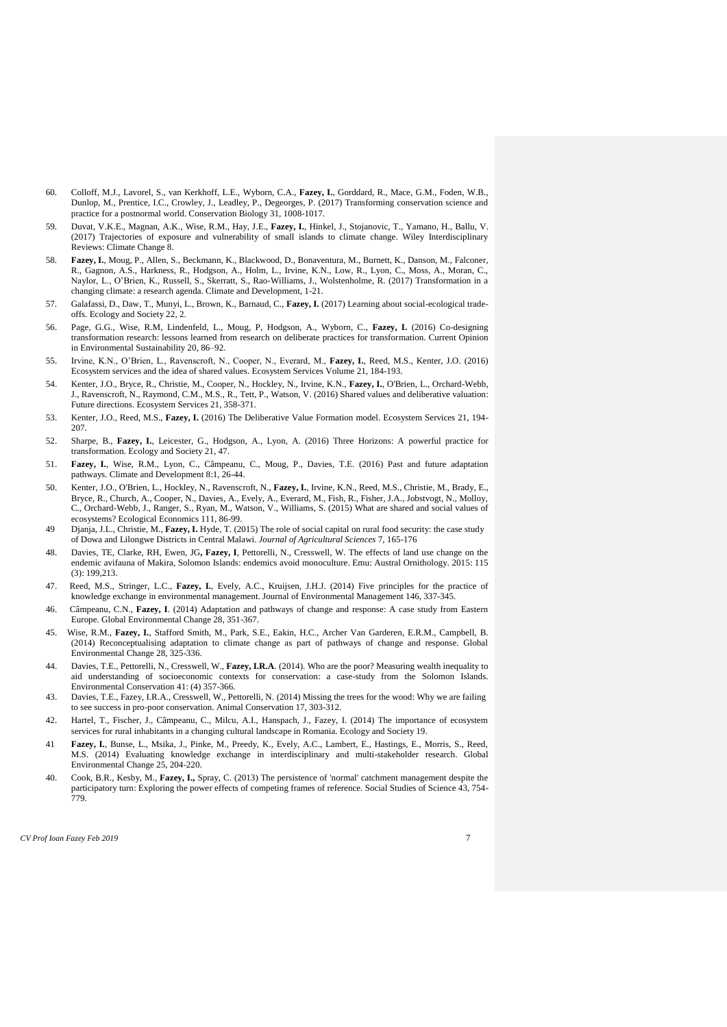- 60. Colloff, M.J., Lavorel, S., van Kerkhoff, L.E., Wyborn, C.A., **Fazey, I.**, Gorddard, R., Mace, G.M., Foden, W.B., Dunlop, M., Prentice, I.C., Crowley, J., Leadley, P., Degeorges, P. (2017) Transforming conservation science and practice for a postnormal world. Conservation Biology 31, 1008-1017.
- 59. Duvat, V.K.E., Magnan, A.K., Wise, R.M., Hay, J.E., **Fazey, I.**, Hinkel, J., Stojanovic, T., Yamano, H., Ballu, V. (2017) Trajectories of exposure and vulnerability of small islands to climate change. Wiley Interdisciplinary Reviews: Climate Change 8.
- 58. **Fazey, I.**, Moug, P., Allen, S., Beckmann, K., Blackwood, D., Bonaventura, M., Burnett, K., Danson, M., Falconer, R., Gagnon, A.S., Harkness, R., Hodgson, A., Holm, L., Irvine, K.N., Low, R., Lyon, C., Moss, A., Moran, C., Naylor, L., O'Brien, K., Russell, S., Skerratt, S., Rao-Williams, J., Wolstenholme, R. (2017) Transformation in a changing climate: a research agenda. Climate and Development, 1-21.
- 57. Galafassi, D., Daw, T., Munyi, L., Brown, K., Barnaud, C., **Fazey, I.** (2017) Learning about social-ecological tradeoffs. Ecology and Society 22, 2.
- 56. Page, G.G., Wise, R.M, Lindenfeld, L., Moug, P, Hodgson, A., Wyborn, C., **Fazey, I.** (2016) Co-designing transformation research: lessons learned from research on deliberate practices for transformation. Current Opinion in Environmental Sustainability 20, 86–92.
- 55. Irvine, K.N., O'Brien, L., Ravenscroft, N., Cooper, N., Everard, M., **Fazey, I.**, Reed, M.S., Kenter, J.O. (2016) Ecosystem services and the idea of shared values. Ecosystem Services Volume 21, 184-193.
- 54. Kenter, J.O., Bryce, R., Christie, M., Cooper, N., Hockley, N., Irvine, K.N., **Fazey, I.**, O'Brien, L., Orchard-Webb, J., Ravenscroft, N., Raymond, C.M., M.S., R., Tett, P., Watson, V. (2016) Shared values and deliberative valuation: Future directions. Ecosystem Services 21, 358-371.
- 53. Kenter, J.O., Reed, M.S., **Fazey, I.** (2016) The Deliberative Value Formation model. Ecosystem Services 21, 194- 207.
- 52. Sharpe, B., **Fazey, I.**, Leicester, G., Hodgson, A., Lyon, A. (2016) Three Horizons: A powerful practice for transformation. Ecology and Society 21, 47.
- 51. **Fazey, I.**, Wise, R.M., Lyon, C., Câmpeanu, C., Moug, P., Davies, T.E. (2016) Past and future adaptation pathways. Climate and Development 8:1, 26-44.
- 50. Kenter, J.O., O'Brien, L., Hockley, N., Ravenscroft, N., **Fazey, I.**, Irvine, K.N., Reed, M.S., Christie, M., Brady, E., Bryce, R., Church, A., Cooper, N., Davies, A., Evely, A., Everard, M., Fish, R., Fisher, J.A., Jobstvogt, N., Molloy, C., Orchard-Webb, J., Ranger, S., Ryan, M., Watson, V., Williams, S. (2015) What are shared and social values of ecosystems? Ecological Economics 111, 86-99.
- 49 Djanja, J.L.*,* Christie, M., **Fazey, I.** Hyde, T. (2015) The role of social capital on rural food security: the case study of Dowa and Lilongwe Districts in Central Malawi. *Journal of Agricultural Sciences* 7, 165-176
- 48. Davies, TE, Clarke, RH, Ewen, JG**, Fazey, I**, Pettorelli, N., Cresswell, W. The effects of land use change on the endemic avifauna of Makira, Solomon Islands: endemics avoid monoculture. Emu: Austral Ornithology. 2015: 115 (3): 199,213.
- 47. Reed, M.S., Stringer, L.C., **Fazey, I.**, Evely, A.C., Kruijsen, J.H.J. (2014) Five principles for the practice of knowledge exchange in environmental management. Journal of Environmental Management 146, 337-345.
- 46. Câmpeanu, C.N., **Fazey, I**. (2014) Adaptation and pathways of change and response: A case study from Eastern Europe. Global Environmental Change 28, 351-367.
- 45. Wise, R.M., **Fazey, I.**, Stafford Smith, M., Park, S.E., Eakin, H.C., Archer Van Garderen, E.R.M., Campbell, B. (2014) Reconceptualising adaptation to climate change as part of pathways of change and response. Global Environmental Change 28, 325-336.
- 44. Davies, T.E., Pettorelli, N., Cresswell, W., **Fazey, I.R.A**. (2014). Who are the poor? Measuring wealth inequality to aid understanding of socioeconomic contexts for conservation: a case-study from the Solomon Islands. Environmental Conservation 41: (4) 357-366.
- 43. Davies, T.E., Fazey, I.R.A., Cresswell, W., Pettorelli, N. (2014) Missing the trees for the wood: Why we are failing to see success in pro-poor conservation. Animal Conservation 17, 303-312.
- 42. Hartel, T., Fischer, J., Câmpeanu, C., Milcu, A.I., Hanspach, J., Fazey, I. (2014) The importance of ecosystem services for rural inhabitants in a changing cultural landscape in Romania. Ecology and Society 19.
- 41 **Fazey, I.**, Bunse, L., Msika, J., Pinke, M., Preedy, K., Evely, A.C., Lambert, E., Hastings, E., Morris, S., Reed, M.S. (2014) Evaluating knowledge exchange in interdisciplinary and multi-stakeholder research. Global Environmental Change 25, 204-220.
- 40. Cook, B.R., Kesby, M., **Fazey, I.,** Spray, C. (2013) The persistence of 'normal' catchment management despite the participatory turn: Exploring the power effects of competing frames of reference. Social Studies of Science 43, 754- 779.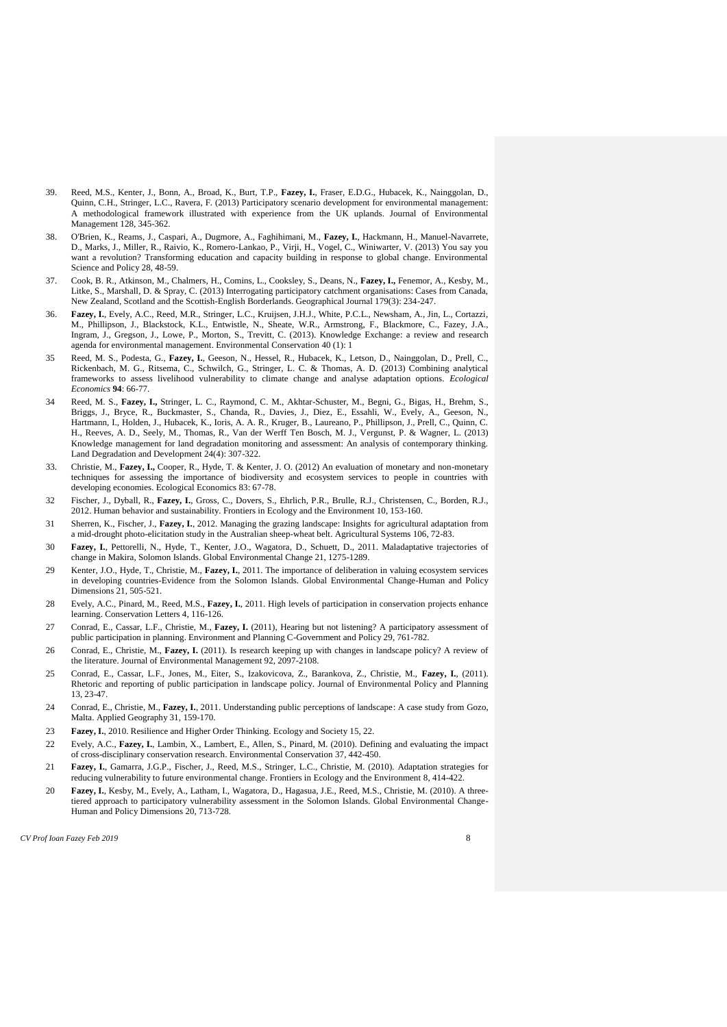- 39. Reed, M.S., Kenter, J., Bonn, A., Broad, K., Burt, T.P., **Fazey, I.**, Fraser, E.D.G., Hubacek, K., Nainggolan, D., Quinn, C.H., Stringer, L.C., Ravera, F. (2013) Participatory scenario development for environmental management: A methodological framework illustrated with experience from the UK uplands. Journal of Environmental Management 128, 345-362.
- 38. O'Brien, K., Reams, J., Caspari, A., Dugmore, A., Faghihimani, M., **Fazey, I.**, Hackmann, H., Manuel-Navarrete, D., Marks, J., Miller, R., Raivio, K., Romero-Lankao, P., Virji, H., Vogel, C., Winiwarter, V. (2013) You say you want a revolution? Transforming education and capacity building in response to global change. Environmental Science and Policy 28, 48-59.
- 37. Cook, B. R., Atkinson, M., Chalmers, H., Comins, L., Cooksley, S., Deans, N., **Fazey, I.,** Fenemor, A., Kesby, M., Litke, S., Marshall, D. & Spray, C. (2013) Interrogating participatory catchment organisations: Cases from Canada, New Zealand, Scotland and the Scottish-English Borderlands. Geographical Journal 179(3): 234-247.
- 36. **Fazey, I.**, Evely, A.C., Reed, M.R., Stringer, L.C., Kruijsen, J.H.J., White, P.C.L., Newsham, A., Jin, L., Cortazzi, M., Phillipson, J., Blackstock, K.L., Entwistle, N., Sheate, W.R., Armstrong, F., Blackmore, C., Fazey, J.A., Ingram, J., Gregson, J., Lowe, P., Morton, S., Trevitt, C. (2013). Knowledge Exchange: a review and research agenda for environmental management. Environmental Conservation 40 (1): 1
- 35 Reed, M. S., Podesta, G., **Fazey, I.**, Geeson, N., Hessel, R., Hubacek, K., Letson, D., Nainggolan, D., Prell, C., Rickenbach, M. G., Ritsema, C., Schwilch, G., Stringer, L. C. & Thomas, A. D. (2013) Combining analytical frameworks to assess livelihood vulnerability to climate change and analyse adaptation options. *Ecological Economics* **94**: 66-77.
- 34 Reed, M. S., **Fazey, I.,** Stringer, L. C., Raymond, C. M., Akhtar-Schuster, M., Begni, G., Bigas, H., Brehm, S., Briggs, J., Bryce, R., Buckmaster, S., Chanda, R., Davies, J., Diez, E., Essahli, W., Evely, A., Geeson, N., Hartmann, I., Holden, J., Hubacek, K., Ioris, A. A. R., Kruger, B., Laureano, P., Phillipson, J., Prell, C., Quinn, C. H., Reeves, A. D., Seely, M., Thomas, R., Van der Werff Ten Bosch, M. J., Vergunst, P. & Wagner, L. (2013) Knowledge management for land degradation monitoring and assessment: An analysis of contemporary thinking. Land Degradation and Development 24(4): 307-322.
- 33. Christie, M., **Fazey, I.,** Cooper, R., Hyde, T. & Kenter, J. O. (2012) An evaluation of monetary and non-monetary techniques for assessing the importance of biodiversity and ecosystem services to people in countries with developing economies. Ecological Economics 83: 67-78.
- 32 Fischer, J., Dyball, R., **Fazey, I.**, Gross, C., Dovers, S., Ehrlich, P.R., Brulle, R.J., Christensen, C., Borden, R.J., 2012. Human behavior and sustainability. Frontiers in Ecology and the Environment 10, 153-160.
- 31 Sherren, K., Fischer, J., **Fazey, I.**, 2012. Managing the grazing landscape: Insights for agricultural adaptation from a mid-drought photo-elicitation study in the Australian sheep-wheat belt. Agricultural Systems 106, 72-83.
- 30 **Fazey, I.**, Pettorelli, N., Hyde, T., Kenter, J.O., Wagatora, D., Schuett, D., 2011. Maladaptative trajectories of change in Makira, Solomon Islands. Global Environmental Change 21, 1275-1289.
- 29 Kenter, J.O., Hyde, T., Christie, M., **Fazey, I.**, 2011. The importance of deliberation in valuing ecosystem services in developing countries-Evidence from the Solomon Islands. Global Environmental Change-Human and Policy Dimensions 21, 505-521.
- 28 Evely, A.C., Pinard, M., Reed, M.S., **Fazey, I.**, 2011. High levels of participation in conservation projects enhance learning. Conservation Letters 4, 116-126.
- 27 Conrad, E., Cassar, L.F., Christie, M., **Fazey, I.** (2011), Hearing but not listening? A participatory assessment of public participation in planning. Environment and Planning C-Government and Policy 29, 761-782.
- 26 Conrad, E., Christie, M., **Fazey, I.** (2011). Is research keeping up with changes in landscape policy? A review of the literature. Journal of Environmental Management 92, 2097-2108.
- 25 Conrad, E., Cassar, L.F., Jones, M., Eiter, S., Izakovicova, Z., Barankova, Z., Christie, M., **Fazey, I.**, (2011). Rhetoric and reporting of public participation in landscape policy. Journal of Environmental Policy and Planning 13, 23-47.
- 24 Conrad, E., Christie, M., **Fazey, I.**, 2011. Understanding public perceptions of landscape: A case study from Gozo, Malta. Applied Geography 31, 159-170.
- 23 **Fazey, I.**, 2010. Resilience and Higher Order Thinking. Ecology and Society 15, 22.
- 22 Evely, A.C., **Fazey, I.**, Lambin, X., Lambert, E., Allen, S., Pinard, M. (2010). Defining and evaluating the impact of cross-disciplinary conservation research. Environmental Conservation 37, 442-450.
- 21 **Fazey, I.**, Gamarra, J.G.P., Fischer, J., Reed, M.S., Stringer, L.C., Christie, M. (2010). Adaptation strategies for reducing vulnerability to future environmental change. Frontiers in Ecology and the Environment 8, 414-422.
- 20 **Fazey, I.**, Kesby, M., Evely, A., Latham, I., Wagatora, D., Hagasua, J.E., Reed, M.S., Christie, M. (2010). A threetiered approach to participatory vulnerability assessment in the Solomon Islands. Global Environmental Change-Human and Policy Dimensions 20, 713-728.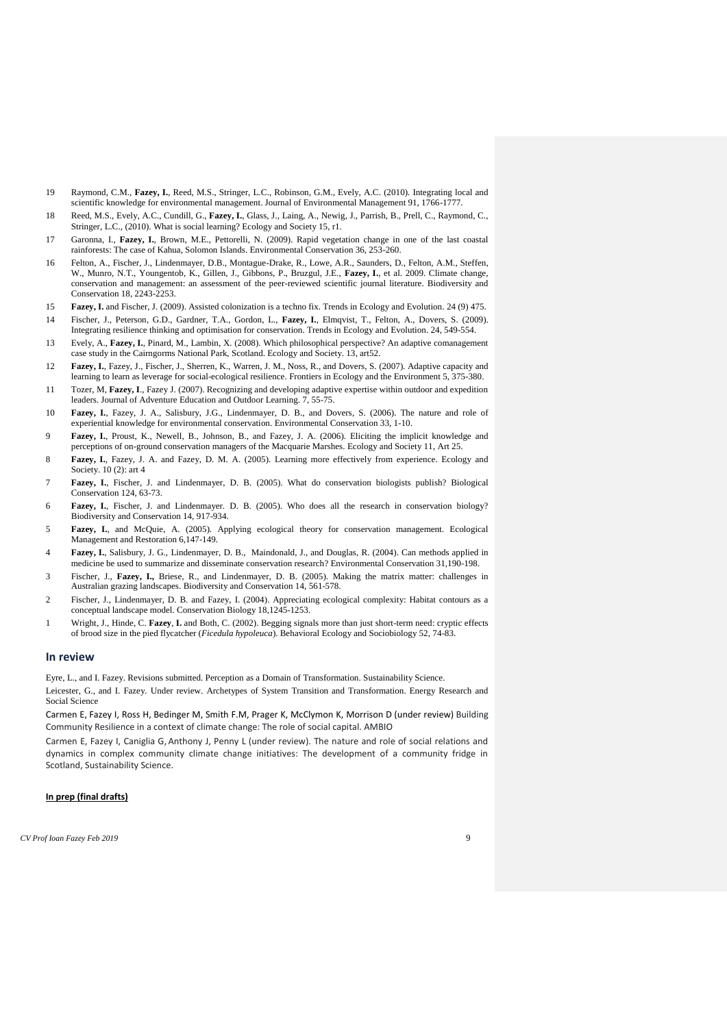- 19 Raymond, C.M., **Fazey, I.**, Reed, M.S., Stringer, L.C., Robinson, G.M., Evely, A.C. (2010). Integrating local and scientific knowledge for environmental management. Journal of Environmental Management 91, 1766-1777.
- 18 Reed, M.S., Evely, A.C., Cundill, G., **Fazey, I.**, Glass, J., Laing, A., Newig, J., Parrish, B., Prell, C., Raymond, C., Stringer, L.C., (2010). What is social learning? Ecology and Society 15, r1.
- 17 Garonna, I., **Fazey, I.**, Brown, M.E., Pettorelli, N. (2009). Rapid vegetation change in one of the last coastal rainforests: The case of Kahua, Solomon Islands. Environmental Conservation 36, 253-260.
- 16 Felton, A., Fischer, J., Lindenmayer, D.B., Montague-Drake, R., Lowe, A.R., Saunders, D., Felton, A.M., Steffen, W., Munro, N.T., Youngentob, K., Gillen, J., Gibbons, P., Bruzgul, J.E., **Fazey, I.**, et al. 2009. Climate change, conservation and management: an assessment of the peer-reviewed scientific journal literature. Biodiversity and Conservation 18, 2243-2253.
- 15 **Fazey, I.** and Fischer, J. (2009). Assisted colonization is a techno fix. Trends in Ecology and Evolution. 24 (9) 475.
- 14 Fischer, J., Peterson, G.D., Gardner, T.A., Gordon, L., **Fazey, I.**, Elmqvist, T., Felton, A., Dovers, S. (2009). Integrating resilience thinking and optimisation for conservation. Trends in Ecology and Evolution. 24, 549-554.
- 13 Evely, A., **Fazey, I.**, Pinard, M., Lambin, X. (2008). Which philosophical perspective? An adaptive comanagement case study in the Cairngorms National Park, Scotland. Ecology and Society. 13, art52.
- 12 **Fazey, I.**, Fazey, J., Fischer, J., Sherren, K., Warren, J. M., Noss, R., and Dovers, S. (2007). Adaptive capacity and learning to learn as leverage for social-ecological resilience. Frontiers in Ecology and the Environment 5, 375-380.
- 11 Tozer, M, **Fazey, I**., Fazey J. (2007). Recognizing and developing adaptive expertise within outdoor and expedition leaders. Journal of Adventure Education and Outdoor Learning. 7, 55-75.
- 10 **Fazey, I.**, Fazey, J. A., Salisbury, J.G., Lindenmayer, D. B., and Dovers, S. (2006). The nature and role of experiential knowledge for environmental conservation. Environmental Conservation 33, 1-10.
- 9 **Fazey, I.**, Proust, K., Newell, B., Johnson, B., and Fazey, J. A. (2006). Eliciting the implicit knowledge and perceptions of on-ground conservation managers of the Macquarie Marshes. Ecology and Society 11, Art 25.
- 8 **Fazey, I.**, Fazey, J. A. and Fazey, D. M. A. (2005). Learning more effectively from experience. Ecology and Society. 10 (2): art 4
- 7 **Fazey, I.**, Fischer, J. and Lindenmayer, D. B. (2005). What do conservation biologists publish? Biological Conservation 124, 63-73.
- 6 **Fazey, I.**, Fischer, J. and Lindenmayer. D. B. (2005). Who does all the research in conservation biology? Biodiversity and Conservation 14, 917-934.
- 5 **Fazey, I.**, and McQuie, A. (2005). Applying ecological theory for conservation management. Ecological Management and Restoration 6,147-149.
- 4 **Fazey, I.**, Salisbury, J. G., Lindenmayer, D. B., Maindonald, J., and Douglas, R. (2004). Can methods applied in medicine be used to summarize and disseminate conservation research? Environmental Conservation 31,190-198.
- 3 Fischer, J., **Fazey, I.,** Briese, R., and Lindenmayer, D. B. (2005). Making the matrix matter: challenges in Australian grazing landscapes. Biodiversity and Conservation 14, 561-578.
- 2 Fischer, J., Lindenmayer, D. B. and Fazey, I. (2004). Appreciating ecological complexity: Habitat contours as a conceptual landscape model. Conservation Biology 18,1245-1253.
- 1 Wright, J., Hinde, C. **Fazey**, **I.** and Both, C. (2002). Begging signals more than just short-term need: cryptic effects of brood size in the pied flycatcher (*Ficedula hypoleuca*). Behavioral Ecology and Sociobiology 52, 74-83.

#### **In review**

Eyre, L., and I. Fazey. Revisions submitted. Perception as a Domain of Transformation. Sustainability Science.

Leicester, G., and I. Fazey. Under review. Archetypes of System Transition and Transformation. Energy Research and Social Science

Carmen E, Fazey I, Ross H, Bedinger M, Smith F.M, Prager K, McClymon K, Morrison D (under review) Building Community Resilience in a context of climate change: The role of social capital. AMBIO

Carmen E, Fazey I, Caniglia G, Anthony J, Penny L (under review). The nature and role of social relations and dynamics in complex community climate change initiatives: The development of a community fridge in Scotland, Sustainability Science.

#### **In prep (final drafts)**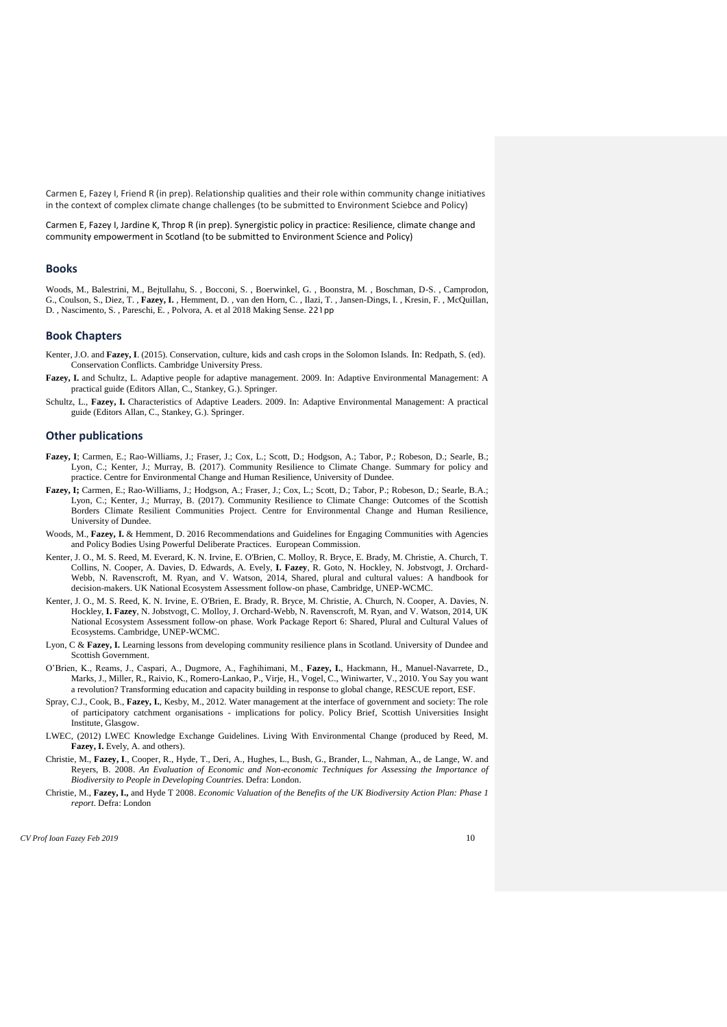Carmen E, Fazey I, Friend R (in prep). Relationship qualities and their role within community change initiatives in the context of complex climate change challenges (to be submitted to Environment Sciebce and Policy)

Carmen E, Fazey I, Jardine K, Throp R (in prep). Synergistic policy in practice: Resilience, climate change and community empowerment in Scotland (to be submitted to Environment Science and Policy)

#### **Books**

Woods, M., Balestrini, M., Bejtullahu, S. , Bocconi, S. , Boerwinkel, G. , Boonstra, M. , Boschman, D-S. , Camprodon, G., Coulson, S., Diez, T. , **Fazey, I.** , Hemment, D. , van den Horn, C. , Ilazi, T. , Jansen-Dings, I. , Kresin, F. , McQuillan, D. , Nascimento, S. , Pareschi, E. , Polvora, A. et al 2018 Making Sense. 221pp

#### **Book Chapters**

- Kenter, J.O. and **Fazey, I**. (2015). Conservation, culture, kids and cash crops in the Solomon Islands. In: Redpath, S. (ed). Conservation Conflicts. Cambridge University Press.
- **Fazey, I.** and Schultz, L. Adaptive people for adaptive management. 2009. In: Adaptive Environmental Management: A practical guide (Editors Allan, C., Stankey, G.). Springer.
- Schultz, L., **Fazey, I.** Characteristics of Adaptive Leaders. 2009. In: Adaptive Environmental Management: A practical guide (Editors Allan, C., Stankey, G.). Springer.

#### **Other publications**

- **Fazey, I**; Carmen, E.; Rao-Williams, J.; Fraser, J.; Cox, L.; Scott, D.; Hodgson, A.; Tabor, P.; Robeson, D.; Searle, B.; Lyon, C.; Kenter, J.; Murray, B. (2017). Community Resilience to Climate Change. Summary for policy and practice. Centre for Environmental Change and Human Resilience, University of Dundee.
- **Fazey, I;** Carmen, E.; Rao-Williams, J.; Hodgson, A.; Fraser, J.; Cox, L.; Scott, D.; Tabor, P.; Robeson, D.; Searle, B.A.; Lyon, C.; Kenter, J.; Murray, B. (2017). Community Resilience to Climate Change: Outcomes of the Scottish Borders Climate Resilient Communities Project. Centre for Environmental Change and Human Resilience, University of Dundee.
- Woods, M., Fazey, I. & Hemment, D. 2016 Recommendations and Guidelines for Engaging Communities with Agencies and Policy Bodies Using Powerful Deliberate Practices. European Commission.
- Kenter, J. O., M. S. Reed, M. Everard, K. N. Irvine, E. O'Brien, C. Molloy, R. Bryce, E. Brady, M. Christie, A. Church, T. Collins, N. Cooper, A. Davies, D. Edwards, A. Evely, **I. Fazey**, R. Goto, N. Hockley, N. Jobstvogt, J. Orchard-Webb, N. Ravenscroft, M. Ryan, and V. Watson, 2014, Shared, plural and cultural values: A handbook for decision-makers. UK National Ecosystem Assessment follow-on phase, Cambridge, UNEP-WCMC.
- Kenter, J. O., M. S. Reed, K. N. Irvine, E. O'Brien, E. Brady, R. Bryce, M. Christie, A. Church, N. Cooper, A. Davies, N. Hockley, **I. Fazey**, N. Jobstvogt, C. Molloy, J. Orchard-Webb, N. Ravenscroft, M. Ryan, and V. Watson, 2014, UK National Ecosystem Assessment follow-on phase. Work Package Report 6: Shared, Plural and Cultural Values of Ecosystems. Cambridge, UNEP-WCMC.
- Lyon, C & **Fazey, I.** Learning lessons from developing community resilience plans in Scotland. University of Dundee and Scottish Government.
- O'Brien, K., Reams, J., Caspari, A., Dugmore, A., Faghihimani, M., **Fazey, I.**, Hackmann, H., Manuel-Navarrete, D., Marks, J., Miller, R., Raivio, K., Romero-Lankao, P., Virje, H., Vogel, C., Winiwarter, V., 2010. You Say you want a revolution? Transforming education and capacity building in response to global change, RESCUE report, ESF.
- Spray, C.J., Cook, B., **Fazey, I.**, Kesby, M., 2012. Water management at the interface of government and society: The role of participatory catchment organisations - implications for policy. Policy Brief, Scottish Universities Insight Institute, Glasgow.
- LWEC, (2012) LWEC Knowledge Exchange Guidelines. Living With Environmental Change (produced by Reed, M. **Fazey, I.** Evely, A. and others).
- Christie, M., **Fazey, I**., Cooper, R., Hyde, T., Deri, A., Hughes, L., Bush, G., Brander, L., Nahman, A., de Lange, W. and Reyers, B. 2008. *An Evaluation of Economic and Non-economic Techniques for Assessing the Importance of Biodiversity to People in Developing Countries.* Defra: London.
- Christie, M., **Fazey, I.,** and Hyde T 2008. *Economic Valuation of the Benefits of the UK Biodiversity Action Plan: Phase 1 report*. Defra: London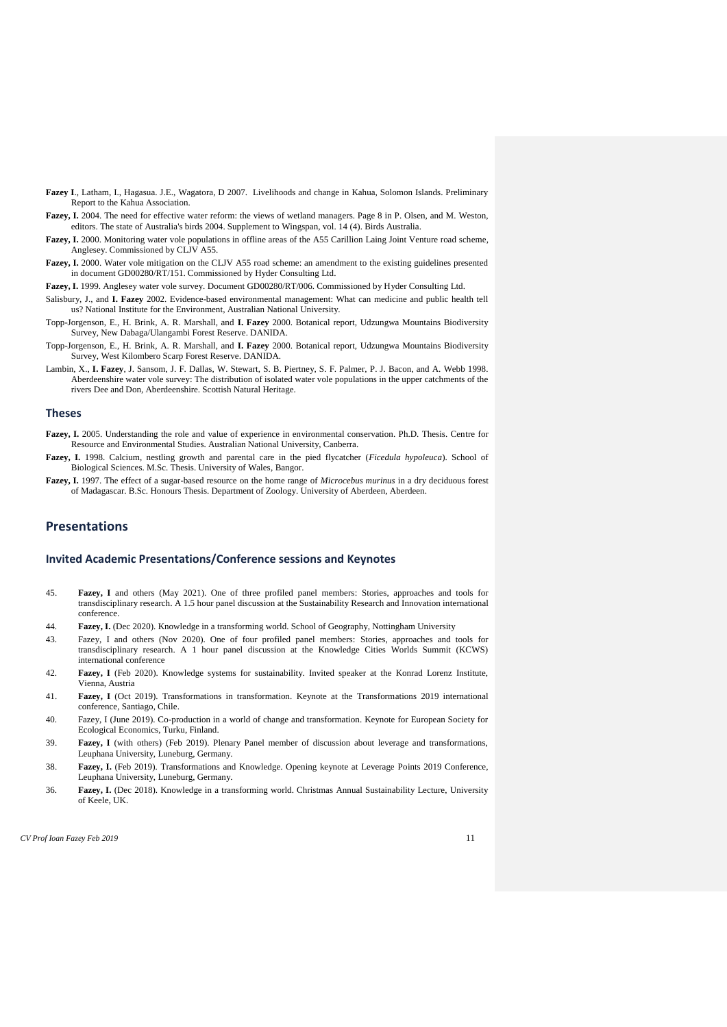- **Fazey I**., Latham, I., Hagasua. J.E., Wagatora, D 2007. Livelihoods and change in Kahua, Solomon Islands. Preliminary Report to the Kahua Association.
- **Fazey, I.** 2004. The need for effective water reform: the views of wetland managers. Page 8 in P. Olsen, and M. Weston, editors. The state of Australia's birds 2004. Supplement to Wingspan, vol. 14 (4). Birds Australia.
- **Fazey, I.** 2000. Monitoring water vole populations in offline areas of the A55 Carillion Laing Joint Venture road scheme, Anglesey. Commissioned by CLJV A55.
- Fazey, I. 2000. Water vole mitigation on the CLJV A55 road scheme: an amendment to the existing guidelines presented in document GD00280/RT/151. Commissioned by Hyder Consulting Ltd.
- **Fazey, I.** 1999. Anglesey water vole survey. Document GD00280/RT/006. Commissioned by Hyder Consulting Ltd.
- Salisbury, J., and **I. Fazey** 2002. Evidence-based environmental management: What can medicine and public health tell us? National Institute for the Environment, Australian National University.
- Topp-Jorgenson, E., H. Brink, A. R. Marshall, and **I. Fazey** 2000. Botanical report, Udzungwa Mountains Biodiversity Survey, New Dabaga/Ulangambi Forest Reserve. DANIDA.
- Topp-Jorgenson, E., H. Brink, A. R. Marshall, and **I. Fazey** 2000. Botanical report, Udzungwa Mountains Biodiversity Survey, West Kilombero Scarp Forest Reserve. DANIDA.
- Lambin, X., **I. Fazey**, J. Sansom, J. F. Dallas, W. Stewart, S. B. Piertney, S. F. Palmer, P. J. Bacon, and A. Webb 1998. Aberdeenshire water vole survey: The distribution of isolated water vole populations in the upper catchments of the rivers Dee and Don, Aberdeenshire. Scottish Natural Heritage.

#### **Theses**

- **Fazey, I.** 2005. Understanding the role and value of experience in environmental conservation. Ph.D. Thesis. Centre for Resource and Environmental Studies. Australian National University, Canberra.
- **Fazey, I.** 1998. Calcium, nestling growth and parental care in the pied flycatcher (*Ficedula hypoleuca*). School of Biological Sciences. M.Sc. Thesis. University of Wales, Bangor.
- **Fazey, I.** 1997. The effect of a sugar-based resource on the home range of *Microcebus murinus* in a dry deciduous forest of Madagascar. B.Sc. Honours Thesis. Department of Zoology. University of Aberdeen, Aberdeen.

#### **Presentations**

#### **Invited Academic Presentations/Conference sessions and Keynotes**

- 45. **Fazey, I** and others (May 2021). One of three profiled panel members: Stories, approaches and tools for transdisciplinary research. A 1.5 hour panel discussion at the Sustainability Research and Innovation international conference.
- 44. **Fazey, I.** (Dec 2020). Knowledge in a transforming world. School of Geography, Nottingham University
- 43. Fazey, I and others (Nov 2020). One of four profiled panel members: Stories, approaches and tools for transdisciplinary research. A 1 hour panel discussion at the Knowledge Cities Worlds Summit (KCWS) international conference
- 42. **Fazey, I** (Feb 2020). Knowledge systems for sustainability. Invited speaker at the Konrad Lorenz Institute, Vienna, Austria
- 41. **Fazey, I** (Oct 2019). Transformations in transformation. Keynote at the Transformations 2019 international conference, Santiago, Chile.
- 40. Fazey, I (June 2019). Co-production in a world of change and transformation. Keynote for European Society for Ecological Economics, Turku, Finland.
- 39. **Fazey, I** (with others) (Feb 2019). Plenary Panel member of discussion about leverage and transformations, Leuphana University, Luneburg, Germany.
- 38. **Fazey, I.** (Feb 2019). Transformations and Knowledge. Opening keynote at Leverage Points 2019 Conference, Leuphana University, Luneburg, Germany.
- 36. **Fazey, I.** (Dec 2018). Knowledge in a transforming world. Christmas Annual Sustainability Lecture, University of Keele, UK.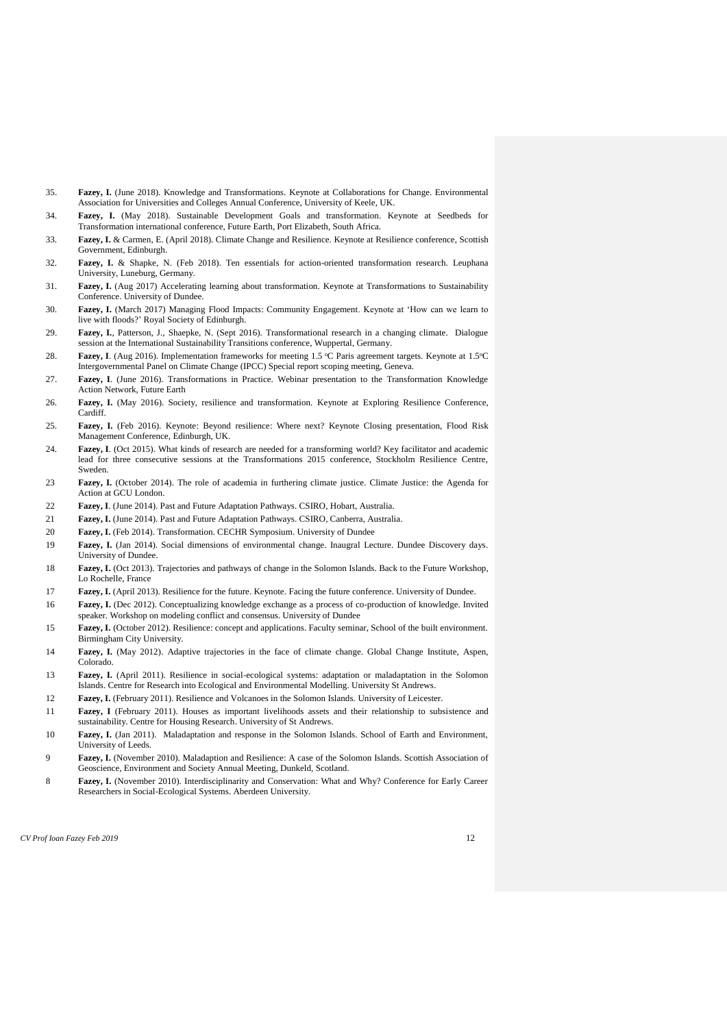- 35. **Fazey, I.** (June 2018). Knowledge and Transformations. Keynote at Collaborations for Change. Environmental Association for Universities and Colleges Annual Conference, University of Keele, UK.
- 34. **Fazey, I.** (May 2018). Sustainable Development Goals and transformation. Keynote at Seedbeds for Transformation international conference, Future Earth, Port Elizabeth, South Africa.
- 33. **Fazey, I.** & Carmen, E. (April 2018). Climate Change and Resilience. Keynote at Resilience conference, Scottish Government, Edinburgh.
- 32. **Fazey, I.** & Shapke, N. (Feb 2018). Ten essentials for action-oriented transformation research. Leuphana University, Luneburg, Germany.
- 31. **Fazey, I.** (Aug 2017) Accelerating learning about transformation. Keynote at Transformations to Sustainability Conference. University of Dundee.
- 30. **Fazey, I.** (March 2017) Managing Flood Impacts: Community Engagement. Keynote at 'How can we learn to live with floods?' Royal Society of Edinburgh.
- 29. **Fazey, I.**, Patterson, J., Shaepke, N. (Sept 2016). Transformational research in a changing climate. Dialogue session at the International Sustainability Transitions conference, Wuppertal, Germany.
- 28. **Fazey, I**. (Aug 2016). Implementation frameworks for meeting 1.5 °C Paris agreement targets. Keynote at 1.5°C Intergovernmental Panel on Climate Change (IPCC) Special report scoping meeting, Geneva.
- 27. **Fazey, I**. (June 2016). Transformations in Practice. Webinar presentation to the Transformation Knowledge Action Network, Future Earth
- 26. **Fazey, I.** (May 2016). Society, resilience and transformation. Keynote at Exploring Resilience Conference, Cardiff.
- 25. **Fazey, I.** (Feb 2016). Keynote: Beyond resilience: Where next? Keynote Closing presentation, Flood Risk Management Conference, Edinburgh, UK.
- 24. **Fazey, I**. (Oct 2015). What kinds of research are needed for a transforming world? Key facilitator and academic lead for three consecutive sessions at the Transformations 2015 conference, Stockholm Resilience Centre, Sweden.
- 23 **Fazey, I.** (October 2014). The role of academia in furthering climate justice. Climate Justice: the Agenda for Action at GCU London.
- 22 **Fazey, I**. (June 2014). Past and Future Adaptation Pathways. CSIRO, Hobart, Australia.
- 21 **Fazey, I.** (June 2014). Past and Future Adaptation Pathways. CSIRO, Canberra, Australia.
- 20 **Fazey, I.** (Feb 2014). Transformation. CECHR Symposium. University of Dundee
- 19 **Fazey, I.** (Jan 2014). Social dimensions of environmental change. Inaugral Lecture. Dundee Discovery days. University of Dundee.
- 18 **Fazey, I.** (Oct 2013). Trajectories and pathways of change in the Solomon Islands. Back to the Future Workshop, Lo Rochelle, France
- 17 **Fazey, I.** (April 2013). Resilience for the future. Keynote. Facing the future conference. University of Dundee.
- 16 **Fazey, I.** (Dec 2012). Conceptualizing knowledge exchange as a process of co-production of knowledge. Invited speaker. Workshop on modeling conflict and consensus. University of Dundee
- 15 **Fazey, I.** (October 2012). Resilience: concept and applications. Faculty seminar, School of the built environment. Birmingham City University.
- 14 **Fazey, I.** (May 2012). Adaptive trajectories in the face of climate change. Global Change Institute, Aspen, Colorado.
- 13 **Fazey, I.** (April 2011). Resilience in social-ecological systems: adaptation or maladaptation in the Solomon Islands. Centre for Research into Ecological and Environmental Modelling. University St Andrews.
- 12 **Fazey, I.** (February 2011). Resilience and Volcanoes in the Solomon Islands. University of Leicester.
- 11 **Fazey, I** (February 2011). Houses as important livelihoods assets and their relationship to subsistence and sustainability. Centre for Housing Research. University of St Andrews.
- 10 **Fazey, I.** (Jan 2011). Maladaptation and response in the Solomon Islands. School of Earth and Environment, University of Leeds.
- 9 **Fazey, I.** (November 2010). Maladaption and Resilience: A case of the Solomon Islands. Scottish Association of Geoscience, Environment and Society Annual Meeting, Dunkeld, Scotland.
- 8 **Fazey, I.** (November 2010). Interdisciplinarity and Conservation: What and Why? Conference for Early Career Researchers in Social-Ecological Systems. Aberdeen University.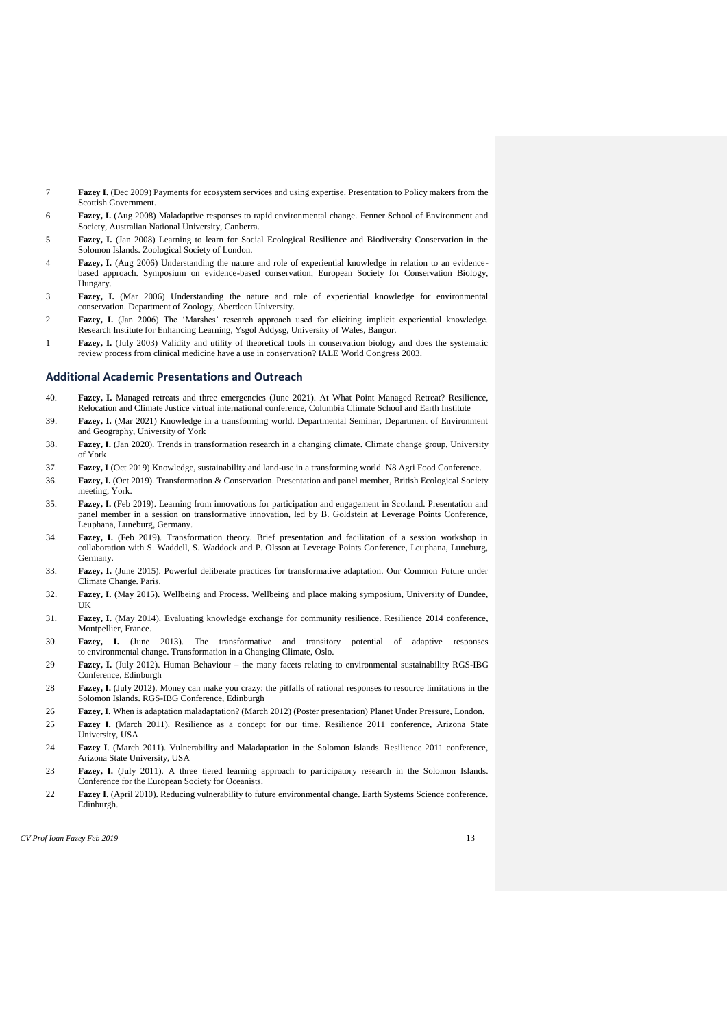- 7 **Fazey I.** (Dec 2009) Payments for ecosystem services and using expertise. Presentation to Policy makers from the Scottish Government.
- 6 **Fazey, I.** (Aug 2008) Maladaptive responses to rapid environmental change. Fenner School of Environment and Society, Australian National University, Canberra.
- 5 **Fazey, I.** (Jan 2008) Learning to learn for Social Ecological Resilience and Biodiversity Conservation in the Solomon Islands. Zoological Society of London.
- 4 **Fazey, I.** (Aug 2006) Understanding the nature and role of experiential knowledge in relation to an evidencebased approach. Symposium on evidence-based conservation, European Society for Conservation Biology, Hungary.
- 3 **Fazey, I.** (Mar 2006) Understanding the nature and role of experiential knowledge for environmental conservation. Department of Zoology, Aberdeen University.
- 2 **Fazey, I.** (Jan 2006) The 'Marshes' research approach used for eliciting implicit experiential knowledge. Research Institute for Enhancing Learning, Ysgol Addysg, University of Wales, Bangor.
- 1 **Fazey, I.** (July 2003) Validity and utility of theoretical tools in conservation biology and does the systematic review process from clinical medicine have a use in conservation? IALE World Congress 2003.

#### **Additional Academic Presentations and Outreach**

- 40. **Fazey, I.** Managed retreats and three emergencies (June 2021). At What Point Managed Retreat? Resilience, Relocation and Climate Justice virtual international conference, Columbia Climate School and Earth Institute
- 39. **Fazey, I.** (Mar 2021) Knowledge in a transforming world. Departmental Seminar, Department of Environment and Geography, University of York
- 38. **Fazey, I.** (Jan 2020). Trends in transformation research in a changing climate. Climate change group, University of York
- 37. **Fazey, I** (Oct 2019) Knowledge, sustainability and land-use in a transforming world. N8 Agri Food Conference.
- 36. **Fazey, I.** (Oct 2019). Transformation & Conservation. Presentation and panel member, British Ecological Society meeting, York.
- 35. **Fazey, I.** (Feb 2019). Learning from innovations for participation and engagement in Scotland. Presentation and panel member in a session on transformative innovation, led by B. Goldstein at Leverage Points Conference, Leuphana, Luneburg, Germany.
- 34. **Fazey, I.** (Feb 2019). Transformation theory. Brief presentation and facilitation of a session workshop in collaboration with S. Waddell, S. Waddock and P. Olsson at Leverage Points Conference, Leuphana, Luneburg, Germany.
- 33. **Fazey, I.** (June 2015). Powerful deliberate practices for transformative adaptation. Our Common Future under Climate Change. Paris.
- 32. **Fazey, I.** (May 2015). Wellbeing and Process. Wellbeing and place making symposium, University of Dundee, UK
- 31. **Fazey, I.** (May 2014). Evaluating knowledge exchange for community resilience. Resilience 2014 conference, Montpellier, France.
- 30. **Fazey, I.** (June 2013). The transformative and transitory potential of adaptive responses to environmental change. Transformation in a Changing Climate, Oslo.
- 29 **Fazey, I.** (July 2012). Human Behaviour the many facets relating to environmental sustainability RGS-IBG Conference, Edinburgh
- 28 **Fazey, I.** (July 2012). Money can make you crazy: the pitfalls of rational responses to resource limitations in the Solomon Islands. RGS-IBG Conference, Edinburgh
- 26 **Fazey, I.** When is adaptation maladaptation? (March 2012) (Poster presentation) Planet Under Pressure, London.
- 25 **Fazey I.** (March 2011). Resilience as a concept for our time. Resilience 2011 conference, Arizona State University, USA
- 24 **Fazey I**. (March 2011). Vulnerability and Maladaptation in the Solomon Islands. Resilience 2011 conference, Arizona State University, USA
- 23 **Fazey, I.** (July 2011). A three tiered learning approach to participatory research in the Solomon Islands. Conference for the European Society for Oceanists.
- 22 **Fazey I.** (April 2010). Reducing vulnerability to future environmental change. Earth Systems Science conference. Edinburgh.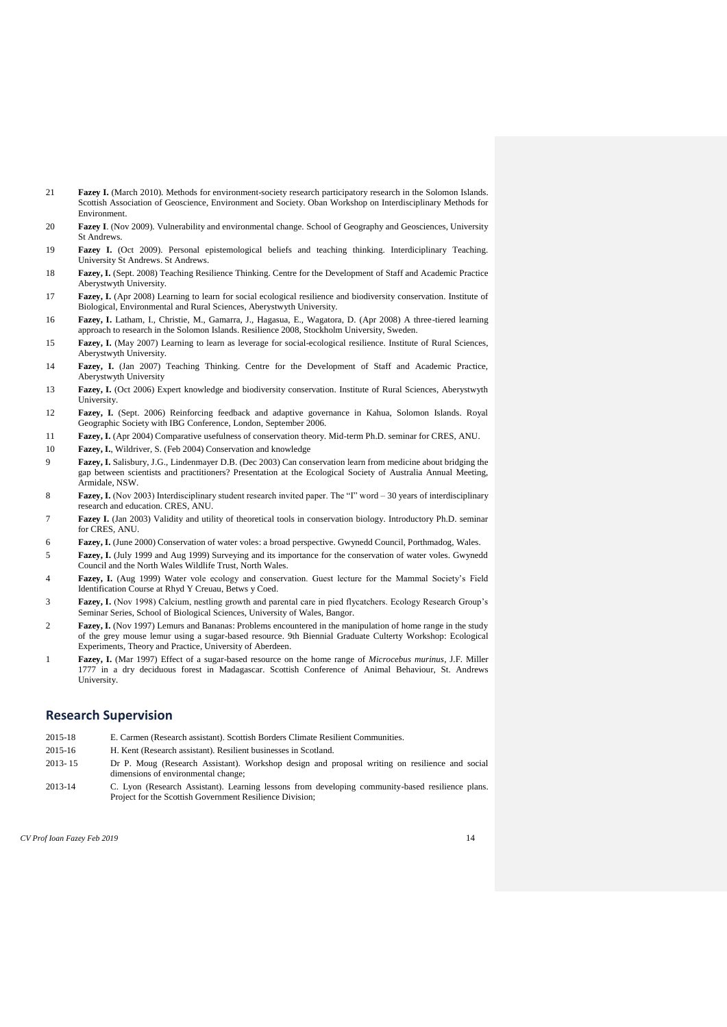- 21 **Fazey I.** (March 2010). Methods for environment-society research participatory research in the Solomon Islands. Scottish Association of Geoscience, Environment and Society. Oban Workshop on Interdisciplinary Methods for Environment.
- 20 **Fazey I**. (Nov 2009). Vulnerability and environmental change. School of Geography and Geosciences, University St Andrews.
- 19 **Fazey I.** (Oct 2009). Personal epistemological beliefs and teaching thinking. Interdiciplinary Teaching. University St Andrews. St Andrews.
- 18 **Fazey, I.** (Sept. 2008) Teaching Resilience Thinking. Centre for the Development of Staff and Academic Practice Aberystwyth University.
- 17 **Fazey, I.** (Apr 2008) Learning to learn for social ecological resilience and biodiversity conservation. Institute of Biological, Environmental and Rural Sciences, Aberystwyth University.
- 16 **Fazey, I.** Latham, I., Christie, M., Gamarra, J., Hagasua, E., Wagatora, D. (Apr 2008) A three-tiered learning approach to research in the Solomon Islands. Resilience 2008, Stockholm University, Sweden.
- 15 **Fazey, I.** (May 2007) Learning to learn as leverage for social-ecological resilience. Institute of Rural Sciences, Aberystwyth University.
- 14 **Fazey, I.** (Jan 2007) Teaching Thinking. Centre for the Development of Staff and Academic Practice, Aberystwyth University
- 13 **Fazey, I.** (Oct 2006) Expert knowledge and biodiversity conservation. Institute of Rural Sciences, Aberystwyth University.
- 12 **Fazey, I.** (Sept. 2006) Reinforcing feedback and adaptive governance in Kahua, Solomon Islands. Royal Geographic Society with IBG Conference, London, September 2006.
- 11 **Fazey, I.** (Apr 2004) Comparative usefulness of conservation theory. Mid-term Ph.D. seminar for CRES, ANU.
- 10 **Fazey, I.**, Wildriver, S. (Feb 2004) Conservation and knowledge
- 9 **Fazey, I.** Salisbury, J.G., Lindenmayer D.B. (Dec 2003) Can conservation learn from medicine about bridging the gap between scientists and practitioners? Presentation at the Ecological Society of Australia Annual Meeting, Armidale, NSW.
- 8 **Fazey, I.** (Nov 2003) Interdisciplinary student research invited paper. The "I" word 30 years of interdisciplinary research and education. CRES, ANU.
- 7 **Fazey I.** (Jan 2003) Validity and utility of theoretical tools in conservation biology. Introductory Ph.D. seminar for CRES, ANU.
- 6 **Fazey, I.** (June 2000) Conservation of water voles: a broad perspective. Gwynedd Council, Porthmadog, Wales.
- 5 **Fazey, I.** (July 1999 and Aug 1999) Surveying and its importance for the conservation of water voles. Gwynedd Council and the North Wales Wildlife Trust, North Wales.
- 4 **Fazey, I.** (Aug 1999) Water vole ecology and conservation. Guest lecture for the Mammal Society's Field Identification Course at Rhyd Y Creuau, Betws y Coed.
- 3 **Fazey, I.** (Nov 1998) Calcium, nestling growth and parental care in pied flycatchers. Ecology Research Group's Seminar Series, School of Biological Sciences, University of Wales, Bangor.
- 2 **Fazey, I.** (Nov 1997) Lemurs and Bananas: Problems encountered in the manipulation of home range in the study of the grey mouse lemur using a sugar-based resource. 9th Biennial Graduate Culterty Workshop: Ecological Experiments, Theory and Practice, University of Aberdeen.
- 1 **Fazey, I.** (Mar 1997) Effect of a sugar-based resource on the home range of *Microcebus murinus*, J.F. Miller 1777 in a dry deciduous forest in Madagascar. Scottish Conference of Animal Behaviour, St. Andrews University.

### **Research Supervision**

- 2015-18 E. Carmen (Research assistant). Scottish Borders Climate Resilient Communities.
- 2015-16 H. Kent (Research assistant). Resilient businesses in Scotland.
- 2013- 15 Dr P. Moug (Research Assistant). Workshop design and proposal writing on resilience and social dimensions of environmental change;
- 2013-14 C. Lyon (Research Assistant). Learning lessons from developing community-based resilience plans. Project for the Scottish Government Resilience Division;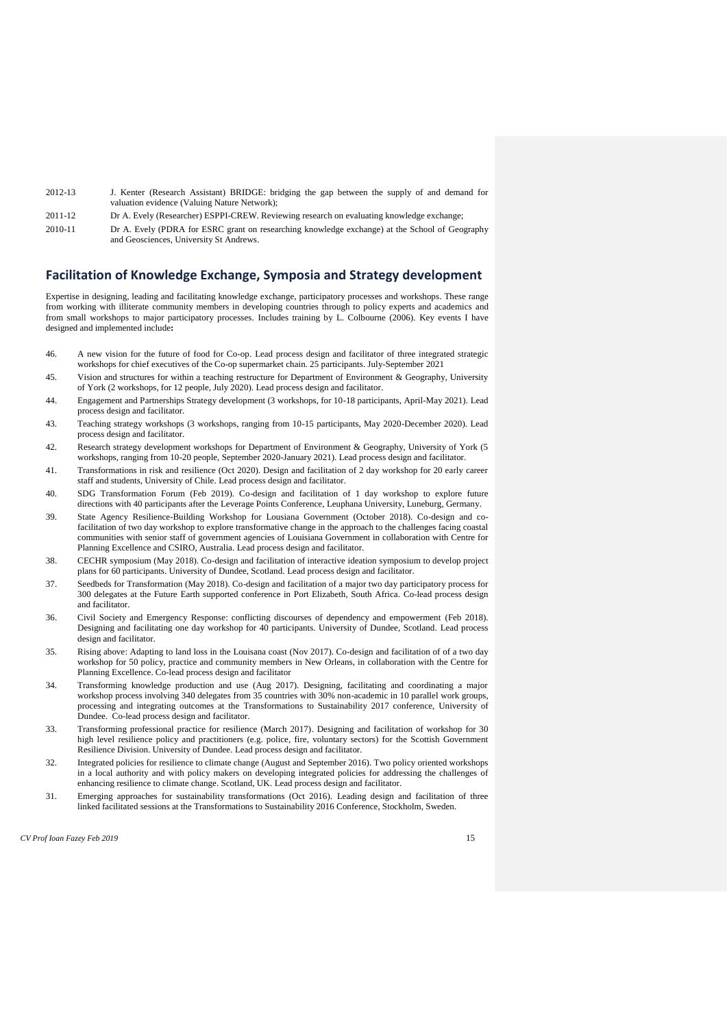- 2012-13 J. Kenter (Research Assistant) BRIDGE: bridging the gap between the supply of and demand for valuation evidence (Valuing Nature Network);
- 2011-12 Dr A. Evely (Researcher) ESPPI-CREW. Reviewing research on evaluating knowledge exchange;
- 2010-11 Dr A. Evely (PDRA for ESRC grant on researching knowledge exchange) at the School of Geography and Geosciences, University St Andrews.

#### **Facilitation of Knowledge Exchange, Symposia and Strategy development**

Expertise in designing, leading and facilitating knowledge exchange, participatory processes and workshops. These range from working with illiterate community members in developing countries through to policy experts and academics and from small workshops to major participatory processes. Includes training by L. Colbourne (2006). Key events I have designed and implemented include**:**

- 46. A new vision for the future of food for Co-op. Lead process design and facilitator of three integrated strategic workshops for chief executives of the Co-op supermarket chain. 25 participants. July-September 2021
- 45. Vision and structures for within a teaching restructure for Department of Environment & Geography, University of York (2 workshops, for 12 people, July 2020). Lead process design and facilitator.
- 44. Engagement and Partnerships Strategy development (3 workshops, for 10-18 participants, April-May 2021). Lead process design and facilitator
- 43. Teaching strategy workshops (3 workshops, ranging from 10-15 participants, May 2020-December 2020). Lead process design and facilitator.
- 42. Research strategy development workshops for Department of Environment & Geography, University of York (5 workshops, ranging from 10-20 people, September 2020-January 2021). Lead process design and facilitator.
- 41. Transformations in risk and resilience (Oct 2020). Design and facilitation of 2 day workshop for 20 early career staff and students, University of Chile. Lead process design and facilitator.
- 40. SDG Transformation Forum (Feb 2019). Co-design and facilitation of 1 day workshop to explore future directions with 40 participants after the Leverage Points Conference, Leuphana University, Luneburg, Germany.
- 39. State Agency Resilience-Building Workshop for Lousiana Government (October 2018). Co-design and cofacilitation of two day workshop to explore transformative change in the approach to the challenges facing coastal communities with senior staff of government agencies of Louisiana Government in collaboration with Centre for Planning Excellence and CSIRO, Australia. Lead process design and facilitator.
- 38. CECHR symposium (May 2018). Co-design and facilitation of interactive ideation symposium to develop project plans for 60 participants. University of Dundee, Scotland. Lead process design and facilitator.
- 37. Seedbeds for Transformation (May 2018). Co-design and facilitation of a major two day participatory process for 300 delegates at the Future Earth supported conference in Port Elizabeth, South Africa. Co-lead process design and facilitator.
- 36. Civil Society and Emergency Response: conflicting discourses of dependency and empowerment (Feb 2018). Designing and facilitating one day workshop for 40 participants. University of Dundee, Scotland. Lead process design and facilitator.
- 35. Rising above: Adapting to land loss in the Louisana coast (Nov 2017). Co-design and facilitation of of a two day workshop for 50 policy, practice and community members in New Orleans, in collaboration with the Centre for Planning Excellence. Co-lead process design and facilitator
- 34. Transforming knowledge production and use (Aug 2017). Designing, facilitating and coordinating a major workshop process involving 340 delegates from 35 countries with 30% non-academic in 10 parallel work groups, processing and integrating outcomes at the Transformations to Sustainability 2017 conference, University of Dundee. Co-lead process design and facilitator.
- 33. Transforming professional practice for resilience (March 2017). Designing and facilitation of workshop for 30 high level resilience policy and practitioners (e.g. police, fire, voluntary sectors) for the Scottish Government Resilience Division. University of Dundee. Lead process design and facilitator.
- 32. Integrated policies for resilience to climate change (August and September 2016). Two policy oriented workshops in a local authority and with policy makers on developing integrated policies for addressing the challenges of enhancing resilience to climate change. Scotland, UK. Lead process design and facilitator.
- 31. Emerging approaches for sustainability transformations (Oct 2016). Leading design and facilitation of three linked facilitated sessions at the Transformations to Sustainability 2016 Conference, Stockholm, Sweden.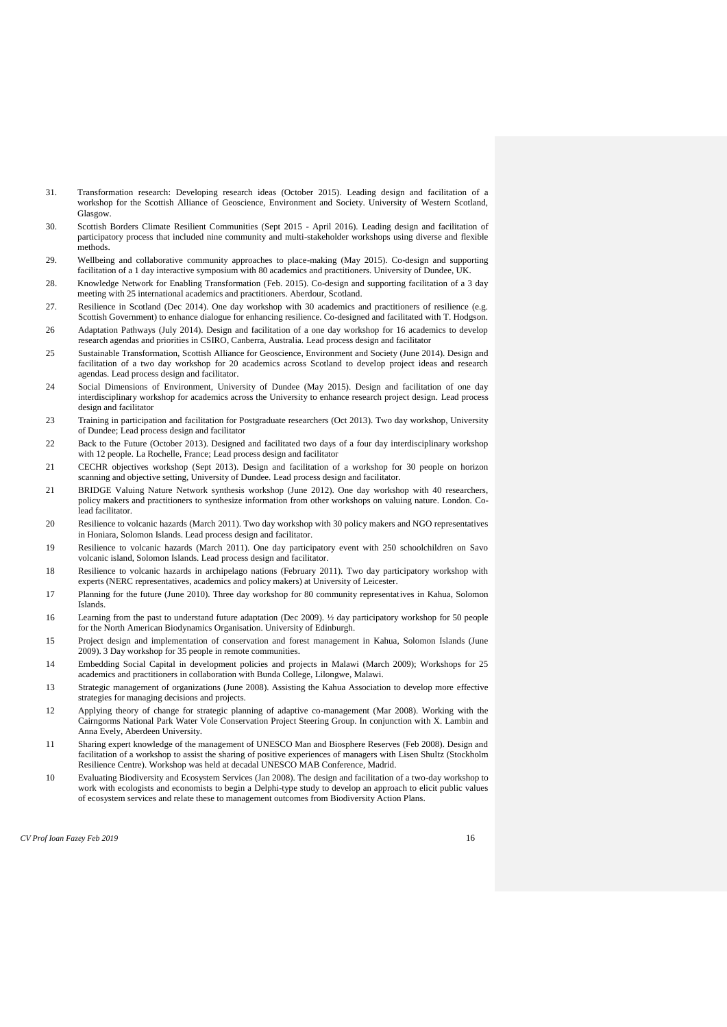- 31. Transformation research: Developing research ideas (October 2015). Leading design and facilitation of a workshop for the Scottish Alliance of Geoscience, Environment and Society. University of Western Scotland, Glasgow.
- 30. Scottish Borders Climate Resilient Communities (Sept 2015 April 2016). Leading design and facilitation of participatory process that included nine community and multi-stakeholder workshops using diverse and flexible methods.
- 29. Wellbeing and collaborative community approaches to place-making (May 2015). Co-design and supporting facilitation of a 1 day interactive symposium with 80 academics and practitioners. University of Dundee, UK.
- 28. Knowledge Network for Enabling Transformation (Feb. 2015). Co-design and supporting facilitation of a 3 day meeting with 25 international academics and practitioners. Aberdour, Scotland.
- 27. Resilience in Scotland (Dec 2014). One day workshop with 30 academics and practitioners of resilience (e.g. Scottish Government) to enhance dialogue for enhancing resilience. Co-designed and facilitated with T. Hodgson.
- 26 Adaptation Pathways (July 2014). Design and facilitation of a one day workshop for 16 academics to develop research agendas and priorities in CSIRO, Canberra, Australia. Lead process design and facilitator
- 25 Sustainable Transformation, Scottish Alliance for Geoscience, Environment and Society (June 2014). Design and facilitation of a two day workshop for 20 academics across Scotland to develop project ideas and research agendas. Lead process design and facilitator.
- 24 Social Dimensions of Environment, University of Dundee (May 2015). Design and facilitation of one day interdisciplinary workshop for academics across the University to enhance research project design. Lead process design and facilitator
- 23 Training in participation and facilitation for Postgraduate researchers (Oct 2013). Two day workshop, University of Dundee: Lead process design and facilitator
- 22 Back to the Future (October 2013). Designed and facilitated two days of a four day interdisciplinary workshop with 12 people. La Rochelle, France; Lead process design and facilitator
- 21 CECHR objectives workshop (Sept 2013). Design and facilitation of a workshop for 30 people on horizon scanning and objective setting, University of Dundee. Lead process design and facilitator.
- 21 BRIDGE Valuing Nature Network synthesis workshop (June 2012). One day workshop with 40 researchers, policy makers and practitioners to synthesize information from other workshops on valuing nature. London. Colead facilitator.
- 20 Resilience to volcanic hazards (March 2011). Two day workshop with 30 policy makers and NGO representatives in Honiara, Solomon Islands. Lead process design and facilitator.
- 19 Resilience to volcanic hazards (March 2011). One day participatory event with 250 schoolchildren on Savo volcanic island, Solomon Islands. Lead process design and facilitator.
- 18 Resilience to volcanic hazards in archipelago nations (February 2011). Two day participatory workshop with experts (NERC representatives, academics and policy makers) at University of Leicester.
- 17 Planning for the future (June 2010). Three day workshop for 80 community representatives in Kahua, Solomon Islands.
- 16 Learning from the past to understand future adaptation (Dec 2009). ½ day participatory workshop for 50 people for the North American Biodynamics Organisation. University of Edinburgh.
- 15 Project design and implementation of conservation and forest management in Kahua, Solomon Islands (June 2009). 3 Day workshop for 35 people in remote communities.
- 14 Embedding Social Capital in development policies and projects in Malawi (March 2009); Workshops for 25 academics and practitioners in collaboration with Bunda College, Lilongwe, Malawi.
- 13 Strategic management of organizations (June 2008). Assisting the Kahua Association to develop more effective strategies for managing decisions and projects.
- 12 Applying theory of change for strategic planning of adaptive co-management (Mar 2008). Working with the Cairngorms National Park Water Vole Conservation Project Steering Group. In conjunction with X. Lambin and Anna Evely, Aberdeen University.
- 11 Sharing expert knowledge of the management of UNESCO Man and Biosphere Reserves (Feb 2008). Design and facilitation of a workshop to assist the sharing of positive experiences of managers with Lisen Shultz (Stockholm Resilience Centre). Workshop was held at decadal UNESCO MAB Conference, Madrid.
- 10 Evaluating Biodiversity and Ecosystem Services (Jan 2008). The design and facilitation of a two-day workshop to work with ecologists and economists to begin a Delphi-type study to develop an approach to elicit public values of ecosystem services and relate these to management outcomes from Biodiversity Action Plans.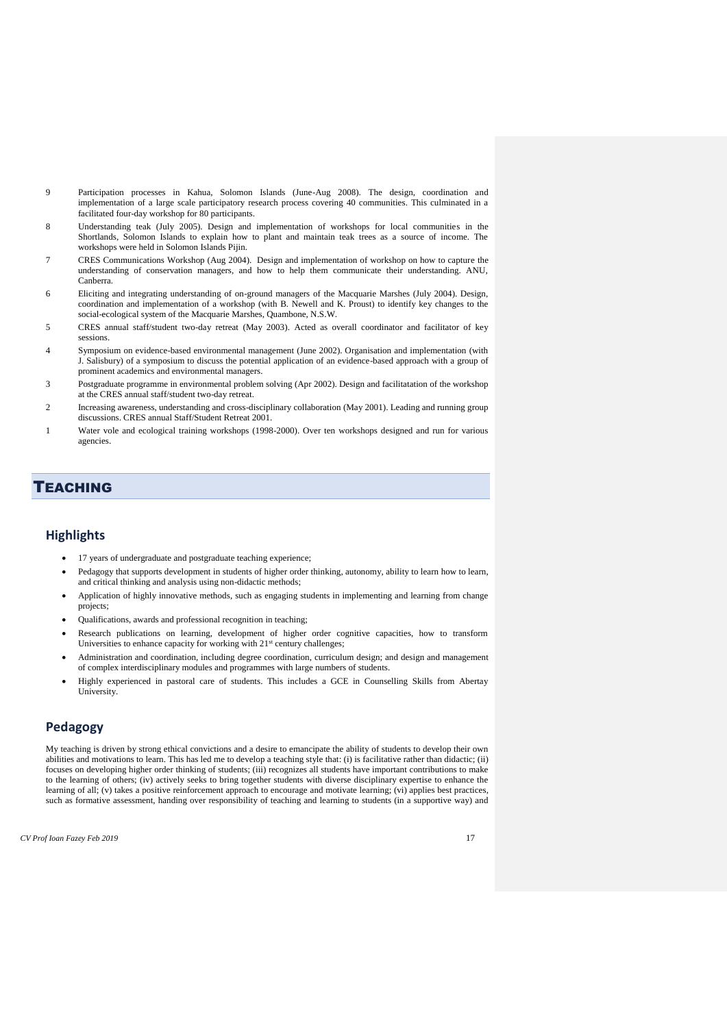- 9 Participation processes in Kahua, Solomon Islands (June-Aug 2008). The design, coordination and implementation of a large scale participatory research process covering 40 communities. This culminated in a facilitated four-day workshop for 80 participants.
- 8 Understanding teak (July 2005). Design and implementation of workshops for local communities in the Shortlands, Solomon Islands to explain how to plant and maintain teak trees as a source of income. The workshops were held in Solomon Islands Pijin.
- 7 CRES Communications Workshop (Aug 2004). Design and implementation of workshop on how to capture the understanding of conservation managers, and how to help them communicate their understanding. ANU, Canberra.
- 6 Eliciting and integrating understanding of on-ground managers of the Macquarie Marshes (July 2004). Design, coordination and implementation of a workshop (with B. Newell and K. Proust) to identify key changes to the social-ecological system of the Macquarie Marshes, Quambone, N.S.W.
- 5 CRES annual staff/student two-day retreat (May 2003). Acted as overall coordinator and facilitator of key sessions.
- 4 Symposium on evidence-based environmental management (June 2002). Organisation and implementation (with J. Salisbury) of a symposium to discuss the potential application of an evidence-based approach with a group of prominent academics and environmental managers.
- 3 Postgraduate programme in environmental problem solving (Apr 2002). Design and facilitatation of the workshop at the CRES annual staff/student two-day retreat.
- 2 Increasing awareness, understanding and cross-disciplinary collaboration (May 2001). Leading and running group discussions. CRES annual Staff/Student Retreat 2001.
- 1 Water vole and ecological training workshops (1998-2000). Over ten workshops designed and run for various agencies.

# **TEACHING**

### **Highlights**

- 17 years of undergraduate and postgraduate teaching experience;
- Pedagogy that supports development in students of higher order thinking, autonomy, ability to learn how to learn, and critical thinking and analysis using non-didactic methods;
- Application of highly innovative methods, such as engaging students in implementing and learning from change projects;
- Qualifications, awards and professional recognition in teaching;
- Research publications on learning, development of higher order cognitive capacities, how to transform Universities to enhance capacity for working with 21<sup>st</sup> century challenges;
- Administration and coordination, including degree coordination, curriculum design; and design and management of complex interdisciplinary modules and programmes with large numbers of students.
- Highly experienced in pastoral care of students. This includes a GCE in Counselling Skills from Abertay University.

### **Pedagogy**

My teaching is driven by strong ethical convictions and a desire to emancipate the ability of students to develop their own abilities and motivations to learn. This has led me to develop a teaching style that: (i) is facilitative rather than didactic; (ii) focuses on developing higher order thinking of students; (iii) recognizes all students have important contributions to make to the learning of others; (iv) actively seeks to bring together students with diverse disciplinary expertise to enhance the learning of all; (v) takes a positive reinforcement approach to encourage and motivate learning; (vi) applies best practices, such as formative assessment, handing over responsibility of teaching and learning to students (in a supportive way) and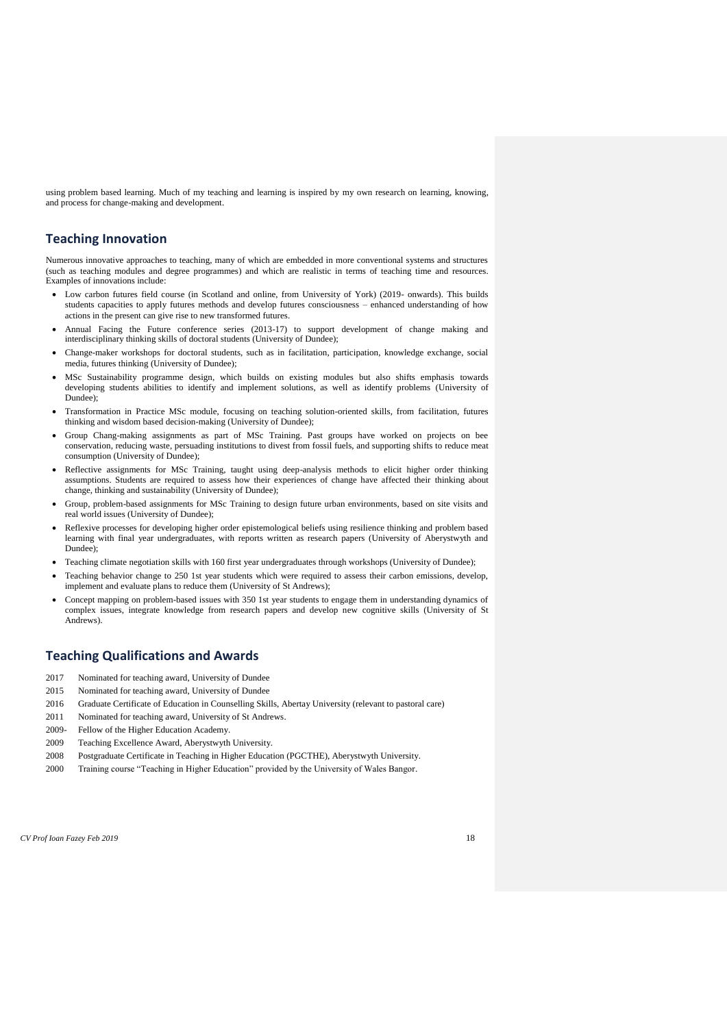using problem based learning. Much of my teaching and learning is inspired by my own research on learning, knowing, and process for change-making and development.

### **Teaching Innovation**

Numerous innovative approaches to teaching, many of which are embedded in more conventional systems and structures (such as teaching modules and degree programmes) and which are realistic in terms of teaching time and resources. Examples of innovations include:

- Low carbon futures field course (in Scotland and online, from University of York) (2019- onwards). This builds students capacities to apply futures methods and develop futures consciousness – enhanced understanding of how actions in the present can give rise to new transformed futures.
- Annual Facing the Future conference series (2013-17) to support development of change making and interdisciplinary thinking skills of doctoral students (University of Dundee);
- Change-maker workshops for doctoral students, such as in facilitation, participation, knowledge exchange, social media, futures thinking (University of Dundee);
- MSc Sustainability programme design, which builds on existing modules but also shifts emphasis towards developing students abilities to identify and implement solutions, as well as identify problems (University of Dundee);
- Transformation in Practice MSc module, focusing on teaching solution-oriented skills, from facilitation, futures thinking and wisdom based decision-making (University of Dundee);
- Group Chang-making assignments as part of MSc Training. Past groups have worked on projects on bee conservation, reducing waste, persuading institutions to divest from fossil fuels, and supporting shifts to reduce meat consumption (University of Dundee);
- Reflective assignments for MSc Training, taught using deep-analysis methods to elicit higher order thinking assumptions. Students are required to assess how their experiences of change have affected their thinking about change, thinking and sustainability (University of Dundee);
- Group, problem-based assignments for MSc Training to design future urban environments, based on site visits and real world issues (University of Dundee);
- Reflexive processes for developing higher order epistemological beliefs using resilience thinking and problem based learning with final year undergraduates, with reports written as research papers (University of Aberystwyth and Dundee);
- Teaching climate negotiation skills with 160 first year undergraduates through workshops (University of Dundee);
- Teaching behavior change to 250 1st year students which were required to assess their carbon emissions, develop, implement and evaluate plans to reduce them (University of St Andrews);
- Concept mapping on problem-based issues with 350 1st year students to engage them in understanding dynamics of complex issues, integrate knowledge from research papers and develop new cognitive skills (University of St Andrews).

### **Teaching Qualifications and Awards**

- 2017 Nominated for teaching award, University of Dundee
- 2015 Nominated for teaching award, University of Dundee
- 2016 Graduate Certificate of Education in Counselling Skills, Abertay University (relevant to pastoral care)
- 2011 Nominated for teaching award, University of St Andrews.
- 2009- Fellow of the Higher Education Academy.
- 2009 Teaching Excellence Award, Aberystwyth University.
- 2008 Postgraduate Certificate in Teaching in Higher Education (PGCTHE), Aberystwyth University.
- 2000 Training course "Teaching in Higher Education" provided by the University of Wales Bangor.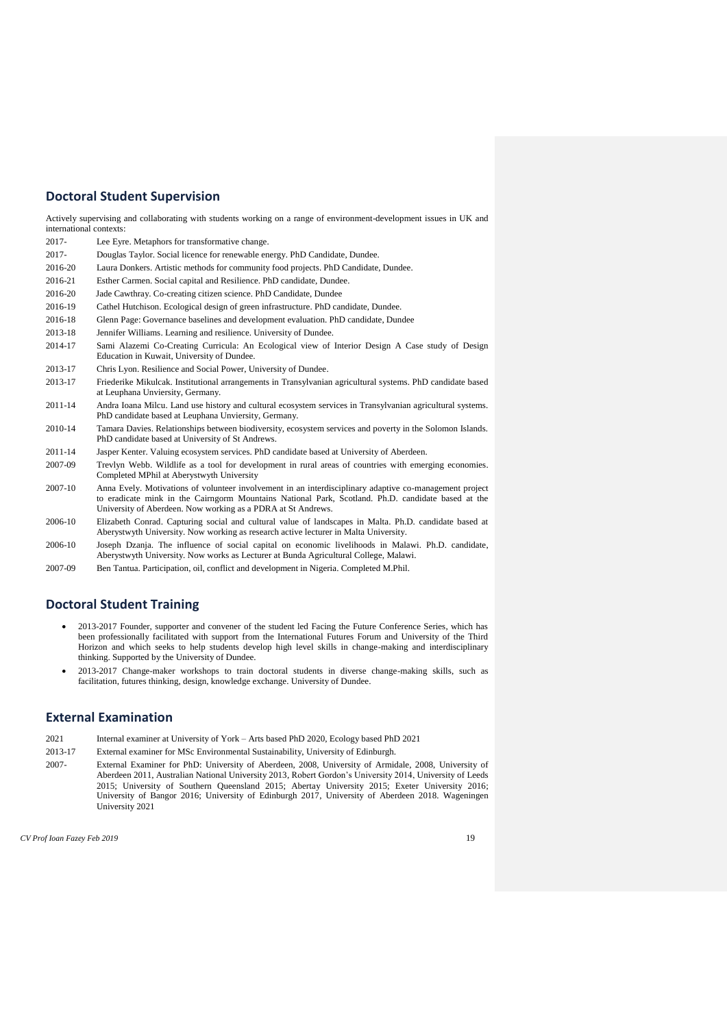### **Doctoral Student Supervision**

Actively supervising and collaborating with students working on a range of environment-development issues in UK and international contexts:

- 2017- Lee Eyre. Metaphors for transformative change.
- 2017- Douglas Taylor. Social licence for renewable energy. PhD Candidate, Dundee.
- 2016-20 Laura Donkers. Artistic methods for community food projects. PhD Candidate, Dundee.
- 2016-21 Esther Carmen. Social capital and Resilience. PhD candidate, Dundee.
- 2016-20 Jade Cawthray. Co-creating citizen science. PhD Candidate, Dundee
- 2016-19 Cathel Hutchison. Ecological design of green infrastructure. PhD candidate, Dundee.
- 2016-18 Glenn Page: Governance baselines and development evaluation. PhD candidate, Dundee
- 2013-18 Jennifer Williams. Learning and resilience. University of Dundee.
- 2014-17 Sami Alazemi Co-Creating Curricula: An Ecological view of Interior Design A Case study of Design Education in Kuwait, University of Dundee.
- 2013-17 Chris Lyon. Resilience and Social Power, University of Dundee.
- 2013-17 Friederike Mikulcak. Institutional arrangements in Transylvanian agricultural systems. PhD candidate based at Leuphana Unviersity, Germany.
- 2011-14 Andra Ioana Milcu. Land use history and cultural ecosystem services in Transylvanian agricultural systems. PhD candidate based at Leuphana Unviersity, Germany.
- 2010-14 Tamara Davies. Relationships between biodiversity, ecosystem services and poverty in the Solomon Islands. PhD candidate based at University of St Andrews.
- 2011-14 Jasper Kenter. Valuing ecosystem services. PhD candidate based at University of Aberdeen.
- 2007-09 Trevlyn Webb. Wildlife as a tool for development in rural areas of countries with emerging economies. Completed MPhil at Aberystwyth University
- 2007-10 Anna Evely. Motivations of volunteer involvement in an interdisciplinary adaptive co-management project to eradicate mink in the Cairngorm Mountains National Park, Scotland. Ph.D. candidate based at the University of Aberdeen. Now working as a PDRA at St Andrews.
- 2006-10 Elizabeth Conrad. Capturing social and cultural value of landscapes in Malta. Ph.D. candidate based at Aberystwyth University. Now working as research active lecturer in Malta University.
- 2006-10 Joseph Dzanja. The influence of social capital on economic livelihoods in Malawi. Ph.D. candidate, Aberystwyth University. Now works as Lecturer at Bunda Agricultural College, Malawi.
- 2007-09 Ben Tantua. Participation, oil, conflict and development in Nigeria. Completed M.Phil.

#### **Doctoral Student Training**

- 2013-2017 Founder, supporter and convener of the student led Facing the Future Conference Series, which has been professionally facilitated with support from the International Futures Forum and University of the Third Horizon and which seeks to help students develop high level skills in change-making and interdisciplinary thinking. Supported by the University of Dundee.
- 2013-2017 Change-maker workshops to train doctoral students in diverse change-making skills, such as facilitation, futures thinking, design, knowledge exchange. University of Dundee.

# **External Examination**

- 2021 Internal examiner at University of York Arts based PhD 2020, Ecology based PhD 2021
- 2013-17 External examiner for MSc Environmental Sustainability, University of Edinburgh.
- 2007- External Examiner for PhD: University of Aberdeen, 2008, University of Armidale, 2008, University of Aberdeen 2011, Australian National University 2013, Robert Gordon's University 2014, University of Leeds 2015; University of Southern Queensland 2015; Abertay University 2015; Exeter University 2016; University of Bangor 2016; University of Edinburgh 2017, University of Aberdeen 2018. Wageningen University 2021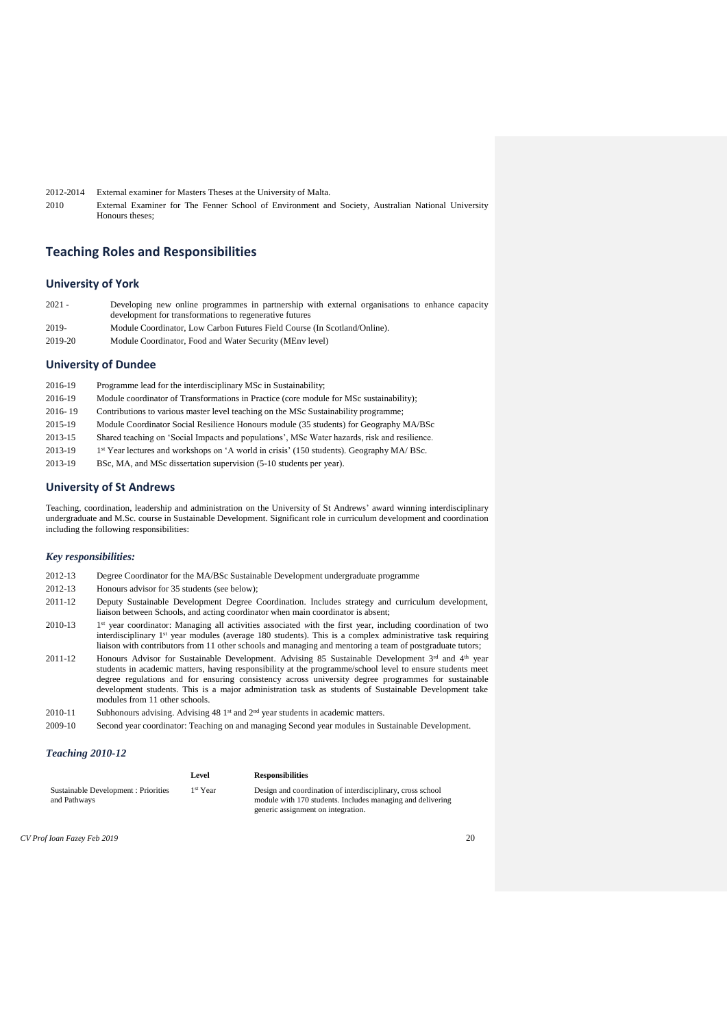2012-2014 External examiner for Masters Theses at the University of Malta. 2010 External Examiner for The Fenner School of Environment and Society, Australian National University Honours theses;

### **Teaching Roles and Responsibilities**

#### **University of York**

| $2021 -$ | Developing new online programmes in partnership with external organisations to enhance capacity |
|----------|-------------------------------------------------------------------------------------------------|
|          | development for transformations to regenerative futures                                         |
| 2019-    | Module Coordinator, Low Carbon Futures Field Course (In Scotland/Online).                       |
| 2019-20  | Module Coordinator, Food and Water Security (MEny level)                                        |

#### **University of Dundee**

| 2016-19 | Programme lead for the interdisciplinary MSc in Sustainability;                                       |
|---------|-------------------------------------------------------------------------------------------------------|
| 2016-19 | Module coordinator of Transformations in Practice (core module for MSc sustainability);               |
| 2016-19 | Contributions to various master level teaching on the MSc Sustainability programme;                   |
| 2015-19 | Module Coordinator Social Resilience Honours module (35 students) for Geography MA/BSc                |
| 2013-15 | Shared teaching on 'Social Impacts and populations', MSc Water hazards, risk and resilience.          |
| 2013-19 | 1 <sup>st</sup> Year lectures and workshops on 'A world in crisis' (150 students). Geography MA/ BSc. |
| 2013-19 | BSc, MA, and MSc dissertation supervision (5-10 students per year).                                   |
|         |                                                                                                       |

#### **University of St Andrews**

Teaching, coordination, leadership and administration on the University of St Andrews' award winning interdisciplinary undergraduate and M.Sc. course in Sustainable Development. Significant role in curriculum development and coordination including the following responsibilities:

#### *Key responsibilities:*

- 2012-13 Degree Coordinator for the MA/BSc Sustainable Development undergraduate programme
- 2012-13 Honours advisor for 35 students (see below);
- 2011-12 Deputy Sustainable Development Degree Coordination. Includes strategy and curriculum development, liaison between Schools, and acting coordinator when main coordinator is absent;
- 2010-13 1 1<sup>st</sup> year coordinator: Managing all activities associated with the first year, including coordination of two interdisciplinary 1 st year modules (average 180 students). This is a complex administrative task requiring liaison with contributors from 11 other schools and managing and mentoring a team of postgraduate tutors;
- 2011-12 Honours Advisor for Sustainable Development. Advising 85 Sustainable Development 3rd and 4th year students in academic matters, having responsibility at the programme/school level to ensure students meet degree regulations and for ensuring consistency across university degree programmes for sustainable development students. This is a major administration task as students of Sustainable Development take modules from 11 other schools.
- 2010-11 Subhonours advising. Advising 48 1st and 2<sup>nd</sup> year students in academic matters.
- 2009-10 Second year coordinator: Teaching on and managing Second year modules in Sustainable Development.

#### *Teaching 2010-12*

|                                                      | Level                | <b>Responsibilities</b>                                                                                                                                        |
|------------------------------------------------------|----------------------|----------------------------------------------------------------------------------------------------------------------------------------------------------------|
| Sustainable Development : Priorities<br>and Pathways | 1 <sup>st</sup> Year | Design and coordination of interdisciplinary, cross school<br>module with 170 students. Includes managing and delivering<br>generic assignment on integration. |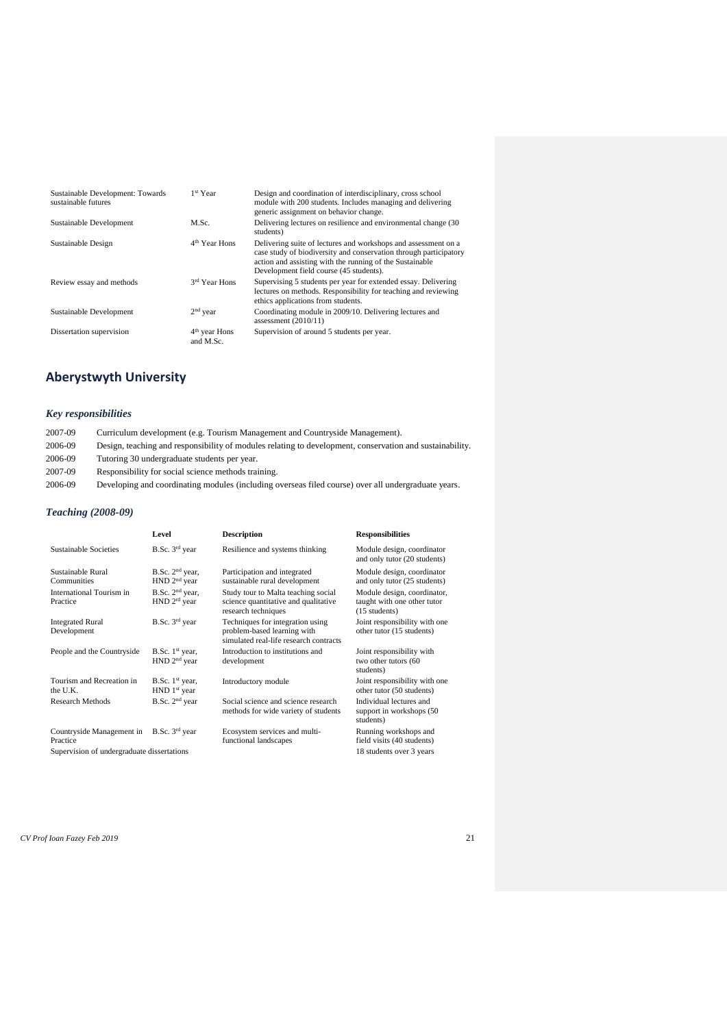| Sustainable Development: Towards<br>sustainable futures | 1 <sup>st</sup> Year         | Design and coordination of interdisciplinary, cross school<br>module with 200 students. Includes managing and delivering<br>generic assignment on behavior change.                                                                         |
|---------------------------------------------------------|------------------------------|--------------------------------------------------------------------------------------------------------------------------------------------------------------------------------------------------------------------------------------------|
| Sustainable Development                                 | M.Sc.                        | Delivering lectures on resilience and environmental change (30)<br>students)                                                                                                                                                               |
| Sustainable Design                                      | 4 <sup>th</sup> Year Hons    | Delivering suite of lectures and workshops and assessment on a<br>case study of biodiversity and conservation through participatory<br>action and assisting with the running of the Sustainable<br>Development field course (45 students). |
| Review essay and methods                                | 3rd Year Hons                | Supervising 5 students per year for extended essay. Delivering<br>lectures on methods. Responsibility for teaching and reviewing<br>ethics applications from students.                                                                     |
| Sustainable Development                                 | $2nd$ year                   | Coordinating module in 2009/10. Delivering lectures and<br>assessment $(2010/11)$                                                                                                                                                          |
| Dissertation supervision                                | $4th$ year Hons<br>and M.Sc. | Supervision of around 5 students per year.                                                                                                                                                                                                 |

# **Aberystwyth University**

### *Key responsibilities*

| 2007-09 | Curriculum development (e.g. Tourism Management and Countryside Management).                             |
|---------|----------------------------------------------------------------------------------------------------------|
| 2006-09 | Design, teaching and responsibility of modules relating to development, conservation and sustainability. |
| 2006-09 | Tutoring 30 undergraduate students per year.                                                             |
| 2007-09 | Responsibility for social science methods training.                                                      |
| 2006-09 | Developing and coordinating modules (including overseas filed course) over all undergraduate years.      |
|         |                                                                                                          |

# *Teaching (2008-09)*

|                                                                                                    | Level                                         | <b>Description</b>                                                                                        | <b>Responsibilities</b>                                                         |
|----------------------------------------------------------------------------------------------------|-----------------------------------------------|-----------------------------------------------------------------------------------------------------------|---------------------------------------------------------------------------------|
| <b>Sustainable Societies</b>                                                                       | $B.Sc. 3rd$ year                              | Resilience and systems thinking                                                                           | Module design, coordinator<br>and only tutor (20 students)                      |
| Sustainable Rural<br>Communities                                                                   | $B.Sc. 2nd$ year,<br>$HND$ $2nd$ year         | Participation and integrated<br>sustainable rural development                                             | Module design, coordinator<br>and only tutor (25 students)                      |
| International Tourism in<br>Practice                                                               | $B.Sc. 2nd$ year,<br>HND 2 <sup>rd</sup> year | Study tour to Malta teaching social<br>science quantitative and qualitative<br>research techniques        | Module design, coordinator,<br>taught with one other tutor<br>$(15$ students)   |
| <b>Integrated Rural</b><br>Development                                                             | B.Sc. 3rd year                                | Techniques for integration using<br>problem-based learning with<br>simulated real-life research contracts | Joint responsibility with one<br>other tutor (15 students)                      |
| People and the Countryside                                                                         | B.Sc. $1st$ year,<br>HND 2 <sup>nd</sup> year | Introduction to institutions and<br>development                                                           | Joint responsibility with<br>two other tutors (60<br>students)                  |
| Tourism and Recreation in<br>the U.K.                                                              | B.Sc. $1st$ year,<br>HND 1 <sup>st</sup> year | Introductory module                                                                                       | Joint responsibility with one<br>other tutor (50 students)                      |
| <b>Research Methods</b>                                                                            | B.Sc. 2 <sup>nd</sup> year                    | Social science and science research<br>methods for wide variety of students                               | Individual lectures and<br>support in workshops (50)<br>students)               |
| Countryside Management in B.Sc. 3rd year<br>Practice<br>Supervision of undergraduate dissertations |                                               | Ecosystem services and multi-<br>functional landscapes                                                    | Running workshops and<br>field visits (40 students)<br>18 students over 3 years |